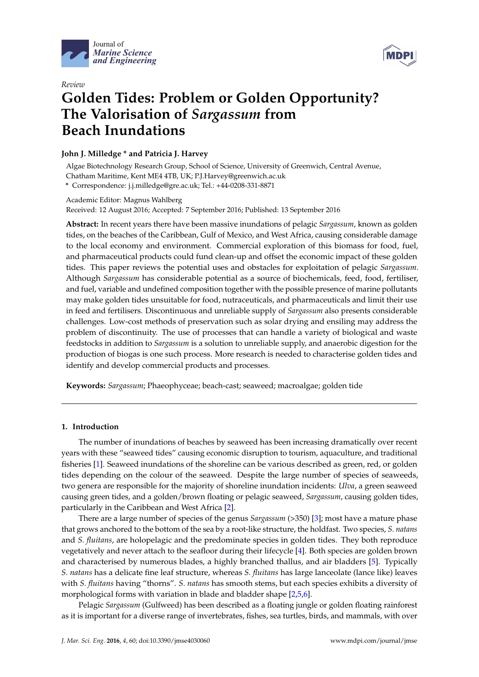



# *Review* **Golden Tides: Problem or Golden Opportunity? The Valorisation of** *Sargassum* **from Beach Inundations**

# **John J. Milledge \* and Patricia J. Harvey**

Algae Biotechnology Research Group, School of Science, University of Greenwich, Central Avenue, Chatham Maritime, Kent ME4 4TB, UK; P.J.Harvey@greenwich.ac.uk **\*** Correspondence: j.j.milledge@gre.ac.uk; Tel.: +44-0208-331-8871

Academic Editor: Magnus Wahlberg Received: 12 August 2016; Accepted: 7 September 2016; Published: 13 September 2016

**Abstract:** In recent years there have been massive inundations of pelagic *Sargassum*, known as golden tides, on the beaches of the Caribbean, Gulf of Mexico, and West Africa, causing considerable damage to the local economy and environment. Commercial exploration of this biomass for food, fuel, and pharmaceutical products could fund clean-up and offset the economic impact of these golden tides. This paper reviews the potential uses and obstacles for exploitation of pelagic *Sargassum*. Although *Sargassum* has considerable potential as a source of biochemicals, feed, food, fertiliser, and fuel, variable and undefined composition together with the possible presence of marine pollutants may make golden tides unsuitable for food, nutraceuticals, and pharmaceuticals and limit their use in feed and fertilisers. Discontinuous and unreliable supply of *Sargassum* also presents considerable challenges. Low-cost methods of preservation such as solar drying and ensiling may address the problem of discontinuity. The use of processes that can handle a variety of biological and waste feedstocks in addition to *Sargassum* is a solution to unreliable supply, and anaerobic digestion for the production of biogas is one such process. More research is needed to characterise golden tides and identify and develop commercial products and processes.

**Keywords:** *Sargassum*; Phaeophyceae; beach-cast; seaweed; macroalgae; golden tide

# **1. Introduction**

The number of inundations of beaches by seaweed has been increasing dramatically over recent years with these "seaweed tides" causing economic disruption to tourism, aquaculture, and traditional fisheries [\[1\]](#page-10-0). Seaweed inundations of the shoreline can be various described as green, red, or golden tides depending on the colour of the seaweed. Despite the large number of species of seaweeds, two genera are responsible for the majority of shoreline inundation incidents: *Ulva*, a green seaweed causing green tides, and a golden/brown floating or pelagic seaweed, *Sargassum*, causing golden tides, particularly in the Caribbean and West Africa [\[2\]](#page-10-1).

There are a large number of species of the genus *Sargassum* (>350) [\[3\]](#page-10-2); most have a mature phase that grows anchored to the bottom of the sea by a root-like structure, the holdfast. Two species, *S. natans* and *S. fluitans*, are holopelagic and the predominate species in golden tides. They both reproduce vegetatively and never attach to the seafloor during their lifecycle [\[4\]](#page-10-3). Both species are golden brown and characterised by numerous blades, a highly branched thallus, and air bladders [\[5\]](#page-10-4). Typically *S. natans* has a delicate fine leaf structure, whereas *S. fluitans* has large lanceolate (lance like) leaves with *S. fluitans* having "thorns". *S. natans* has smooth stems, but each species exhibits a diversity of morphological forms with variation in blade and bladder shape [\[2](#page-10-1)[,5](#page-10-4)[,6\]](#page-10-5).

Pelagic *Sargassum* (Gulfweed) has been described as a floating jungle or golden floating rainforest as it is important for a diverse range of invertebrates, fishes, sea turtles, birds, and mammals, with over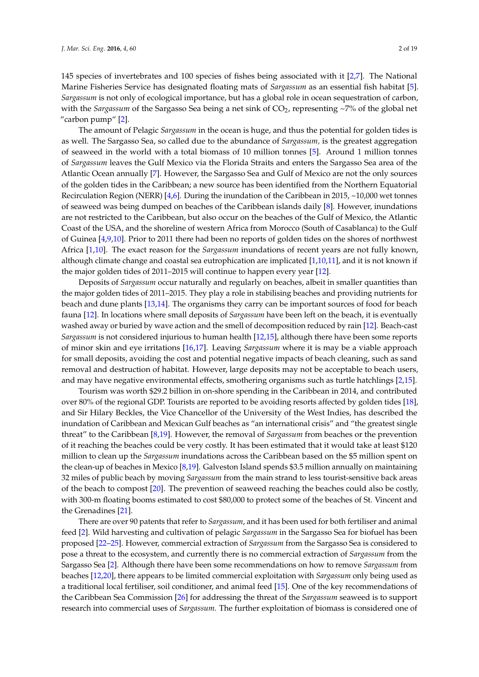145 species of invertebrates and 100 species of fishes being associated with it [\[2,](#page-10-1)[7\]](#page-11-0). The National Marine Fisheries Service has designated floating mats of *Sargassum* as an essential fish habitat [\[5\]](#page-10-4). *Sargassum* is not only of ecological importance, but has a global role in ocean sequestration of carbon, with the *Sargassum* of the Sargasso Sea being a net sink of CO<sub>2</sub>, representing ~7% of the global net "carbon pump" [\[2\]](#page-10-1).

The amount of Pelagic *Sargassum* in the ocean is huge, and thus the potential for golden tides is as well. The Sargasso Sea, so called due to the abundance of *Sargassum,* is the greatest aggregation of seaweed in the world with a total biomass of 10 million tonnes [\[5\]](#page-10-4). Around 1 million tonnes of *Sargassum* leaves the Gulf Mexico via the Florida Straits and enters the Sargasso Sea area of the Atlantic Ocean annually [\[7\]](#page-11-0). However, the Sargasso Sea and Gulf of Mexico are not the only sources of the golden tides in the Caribbean; a new source has been identified from the Northern Equatorial Recirculation Region (NERR) [\[4,](#page-10-3)[6\]](#page-10-5). During the inundation of the Caribbean in 2015, ~10,000 wet tonnes of seaweed was being dumped on beaches of the Caribbean islands daily [\[8\]](#page-11-1). However, inundations are not restricted to the Caribbean, but also occur on the beaches of the Gulf of Mexico, the Atlantic Coast of the USA, and the shoreline of western Africa from Morocco (South of Casablanca) to the Gulf of Guinea [\[4](#page-10-3)[,9,](#page-11-2)[10\]](#page-11-3). Prior to 2011 there had been no reports of golden tides on the shores of northwest Africa [\[1,](#page-10-0)[10\]](#page-11-3). The exact reason for the *Sargassum* inundations of recent years are not fully known, although climate change and coastal sea eutrophication are implicated [\[1,](#page-10-0)[10,](#page-11-3)[11\]](#page-11-4), and it is not known if the major golden tides of 2011–2015 will continue to happen every year [\[12\]](#page-11-5).

Deposits of *Sargassum* occur naturally and regularly on beaches, albeit in smaller quantities than the major golden tides of 2011–2015. They play a role in stabilising beaches and providing nutrients for beach and dune plants [\[13](#page-11-6)[,14\]](#page-11-7). The organisms they carry can be important sources of food for beach fauna [\[12\]](#page-11-5). In locations where small deposits of *Sargassum* have been left on the beach, it is eventually washed away or buried by wave action and the smell of decomposition reduced by rain [\[12\]](#page-11-5). Beach-cast *Sargassum* is not considered injurious to human health [\[12](#page-11-5)[,15\]](#page-11-8), although there have been some reports of minor skin and eye irritations [\[16](#page-11-9)[,17\]](#page-11-10). Leaving *Sargassum* where it is may be a viable approach for small deposits, avoiding the cost and potential negative impacts of beach cleaning, such as sand removal and destruction of habitat. However, large deposits may not be acceptable to beach users, and may have negative environmental effects, smothering organisms such as turtle hatchlings [\[2,](#page-10-1)[15\]](#page-11-8).

Tourism was worth \$29.2 billion in on-shore spending in the Caribbean in 2014, and contributed over 80% of the regional GDP. Tourists are reported to be avoiding resorts affected by golden tides [\[18\]](#page-11-11), and Sir Hilary Beckles, the Vice Chancellor of the University of the West Indies, has described the inundation of Caribbean and Mexican Gulf beaches as "an international crisis" and "the greatest single threat" to the Caribbean [\[8](#page-11-1)[,19\]](#page-11-12). However, the removal of *Sargassum* from beaches or the prevention of it reaching the beaches could be very costly. It has been estimated that it would take at least \$120 million to clean up the *Sargassum* inundations across the Caribbean based on the \$5 million spent on the clean-up of beaches in Mexico [\[8](#page-11-1)[,19\]](#page-11-12). Galveston Island spends \$3.5 million annually on maintaining 32 miles of public beach by moving *Sargassum* from the main strand to less tourist-sensitive back areas of the beach to compost [\[20\]](#page-11-13). The prevention of seaweed reaching the beaches could also be costly, with 300-m floating booms estimated to cost \$80,000 to protect some of the beaches of St. Vincent and the Grenadines [\[21\]](#page-11-14).

There are over 90 patents that refer to *Sargassum*, and it has been used for both fertiliser and animal feed [\[2\]](#page-10-1). Wild harvesting and cultivation of pelagic *Sargassum* in the Sargasso Sea for biofuel has been proposed [\[22–](#page-11-15)[25\]](#page-11-16). However, commercial extraction of *Sargassum* from the Sargasso Sea is considered to pose a threat to the ecosystem, and currently there is no commercial extraction of *Sargassum* from the Sargasso Sea [\[2\]](#page-10-1). Although there have been some recommendations on how to remove *Sargassum* from beaches [\[12](#page-11-5)[,20\]](#page-11-13), there appears to be limited commercial exploitation with *Sargassum* only being used as a traditional local fertiliser, soil conditioner, and animal feed [\[15\]](#page-11-8). One of the key recommendations of the Caribbean Sea Commission [\[26\]](#page-11-17) for addressing the threat of the *Sargassum* seaweed is to support research into commercial uses of *Sargassum.* The further exploitation of biomass is considered one of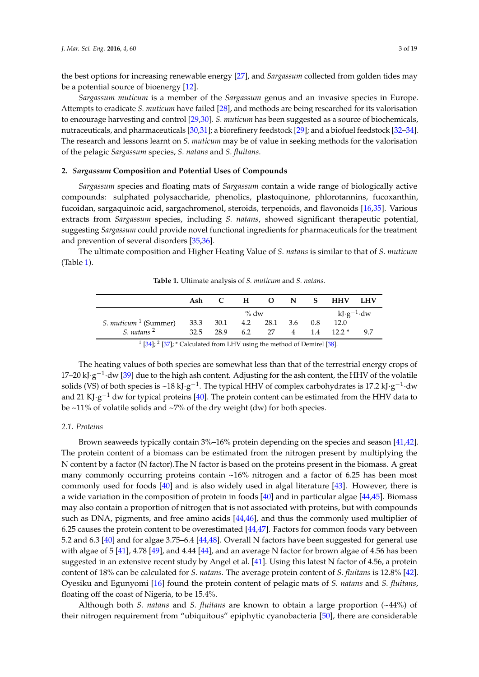the best options for increasing renewable energy [\[27\]](#page-11-18), and *Sargassum* collected from golden tides may be a potential source of bioenergy [\[12\]](#page-11-5).

*Sargassum muticum* is a member of the *Sargassum* genus and an invasive species in Europe. Attempts to eradicate *S. muticum* have failed [\[28\]](#page-11-19), and methods are being researched for its valorisation to encourage harvesting and control [\[29,](#page-12-0)[30\]](#page-12-1). *S. muticum* has been suggested as a source of biochemicals, nutraceuticals, and pharmaceuticals [\[30,](#page-12-1)[31\]](#page-12-2); a biorefinery feedstock [\[29\]](#page-12-0); and a biofuel feedstock [\[32–](#page-12-3)[34\]](#page-12-4). The research and lessons learnt on *S. muticum* may be of value in seeking methods for the valorisation of the pelagic *Sargassum* species, *S. natans* and *S. fluitans*.

# **2.** *Sargassum* **Composition and Potential Uses of Compounds**

*Sargassum* species and floating mats of *Sargassum* contain a wide range of biologically active compounds: sulphated polysaccharide, phenolics, plastoquinone, phlorotannins, fucoxanthin, fucoidan, sargaquinoic acid, sargachromenol, steroids, terpenoids, and flavonoids [\[16](#page-11-9)[,35\]](#page-12-5). Various extracts from *Sargassum* species, including *S. natans*, showed significant therapeutic potential, suggesting *Sargassum* could provide novel functional ingredients for pharmaceuticals for the treatment and prevention of several disorders [\[35,](#page-12-5)[36\]](#page-12-6).

<span id="page-2-0"></span>The ultimate composition and Higher Heating Value of *S. natans* is similar to that of *S. muticum* (Table [1\)](#page-2-0).

**Table 1.** Ultimate analysis of *S. muticum* and *S. natans*.

|                                          | Ash                        |                    |  |  |  |  | H O N S HHV LHV |    |
|------------------------------------------|----------------------------|--------------------|--|--|--|--|-----------------|----|
|                                          | % $dw$                     |                    |  |  |  |  | $kJ·g^{-1}·dw$  |    |
| S. <i>muticum</i> $\frac{1}{1}$ (Summer) | 33.3 30.1 4.2 28.1 3.6 0.8 |                    |  |  |  |  | 12.0            |    |
| S. natans <sup>2</sup>                   |                            | 32.5 28.9 6.2 27 4 |  |  |  |  | $1.4$ $12.2*$   | 97 |

 $1$  [\[34\]](#page-12-4);  $2$  [\[37\]](#page-12-7);  $*$  Calculated from LHV using the method of Demirel [\[38\]](#page-12-8).

The heating values of both species are somewhat less than that of the terrestrial energy crops of 17–20 kJ·g<sup>-1</sup>·dw [\[39\]](#page-12-9) due to the high ash content. Adjusting for the ash content, the HHV of the volatile solids (VS) of both species is ~18 kJ·g<sup>-1</sup>. The typical HHV of complex carbohydrates is 17.2 kJ·g<sup>-1</sup>·dw and 21 KJ·g<sup>-1</sup> dw for typical proteins [\[40\]](#page-12-10). The protein content can be estimated from the HHV data to be  $\sim$ 11% of volatile solids and  $\sim$ 7% of the dry weight (dw) for both species.

# *2.1. Proteins*

Brown seaweeds typically contain 3%–16% protein depending on the species and season [\[41,](#page-12-11)[42\]](#page-12-12). The protein content of a biomass can be estimated from the nitrogen present by multiplying the N content by a factor (N factor).The N factor is based on the proteins present in the biomass. A great many commonly occurring proteins contain ~16% nitrogen and a factor of 6.25 has been most commonly used for foods [\[40\]](#page-12-10) and is also widely used in algal literature [\[43\]](#page-12-13). However, there is a wide variation in the composition of protein in foods [\[40\]](#page-12-10) and in particular algae [\[44](#page-12-14)[,45\]](#page-12-15). Biomass may also contain a proportion of nitrogen that is not associated with proteins, but with compounds such as DNA, pigments, and free amino acids [\[44,](#page-12-14)[46\]](#page-12-16), and thus the commonly used multiplier of 6.25 causes the protein content to be overestimated [\[44,](#page-12-14)[47\]](#page-12-17). Factors for common foods vary between 5.2 and 6.3 [\[40\]](#page-12-10) and for algae 3.75–6.4 [\[44](#page-12-14)[,48\]](#page-12-18). Overall N factors have been suggested for general use with algae of 5 [\[41\]](#page-12-11), 4.78 [\[49\]](#page-12-19), and 4.44 [\[44\]](#page-12-14), and an average N factor for brown algae of 4.56 has been suggested in an extensive recent study by Angel et al. [\[41\]](#page-12-11). Using this latest N factor of 4.56, a protein content of 18% can be calculated for *S. natans*. The average protein content of *S. fluitans* is 12.8% [\[42\]](#page-12-12). Oyesiku and Egunyomi [\[16\]](#page-11-9) found the protein content of pelagic mats of *S. natans* and *S. fluitans*, floating off the coast of Nigeria, to be 15.4%.

Although both *S. natans* and *S. fluitans* are known to obtain a large proportion (~44%) of their nitrogen requirement from "ubiquitous" epiphytic cyanobacteria [\[50\]](#page-12-20), there are considerable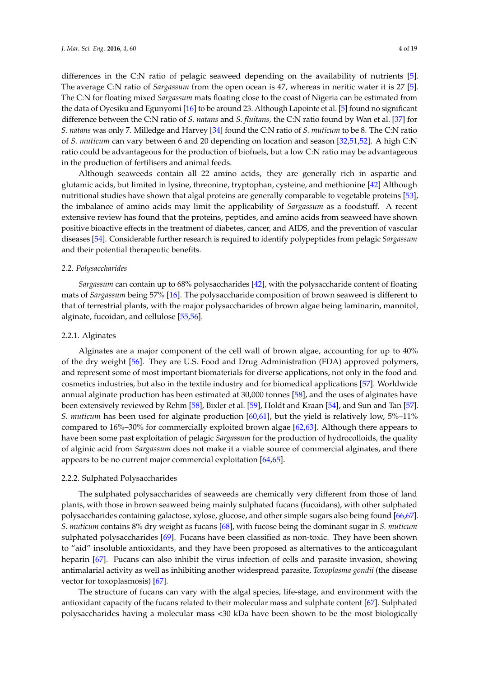differences in the C:N ratio of pelagic seaweed depending on the availability of nutrients [\[5\]](#page-10-4). The average C:N ratio of *Sargassum* from the open ocean is 47, whereas in neritic water it is 27 [\[5\]](#page-10-4). The C:N for floating mixed *Sargassum* mats floating close to the coast of Nigeria can be estimated from the data of Oyesiku and Egunyomi [\[16\]](#page-11-9) to be around 23. Although Lapointe et al. [\[5\]](#page-10-4) found no significant difference between the C:N ratio of *S. natans* and *S. fluitans,* the C:N ratio found by Wan et al. [\[37\]](#page-12-7) for *S. natans* was only 7. Milledge and Harvey [\[34\]](#page-12-4) found the C:N ratio of *S. muticum* to be 8. The C:N ratio of *S. muticum* can vary between 6 and 20 depending on location and season [\[32,](#page-12-3)[51,](#page-12-21)[52\]](#page-13-0). A high C:N ratio could be advantageous for the production of biofuels, but a low C:N ratio may be advantageous in the production of fertilisers and animal feeds.

Although seaweeds contain all 22 amino acids, they are generally rich in aspartic and glutamic acids, but limited in lysine, threonine, tryptophan, cysteine, and methionine [\[42\]](#page-12-12) Although nutritional studies have shown that algal proteins are generally comparable to vegetable proteins [\[53\]](#page-13-1), the imbalance of amino acids may limit the applicability of *Sargassum* as a foodstuff. A recent extensive review has found that the proteins, peptides, and amino acids from seaweed have shown positive bioactive effects in the treatment of diabetes, cancer, and AIDS, and the prevention of vascular diseases [\[54\]](#page-13-2). Considerable further research is required to identify polypeptides from pelagic *Sargassum* and their potential therapeutic benefits.

## *2.2. Polysaccharides*

*Sargassum* can contain up to 68% polysaccharides [\[42\]](#page-12-12), with the polysaccharide content of floating mats of *Sargassum* being 57% [\[16\]](#page-11-9). The polysaccharide composition of brown seaweed is different to that of terrestrial plants, with the major polysaccharides of brown algae being laminarin, mannitol, alginate, fucoidan, and cellulose [\[55,](#page-13-3)[56\]](#page-13-4).

#### 2.2.1. Alginates

Alginates are a major component of the cell wall of brown algae, accounting for up to 40% of the dry weight [\[56\]](#page-13-4). They are U.S. Food and Drug Administration (FDA) approved polymers, and represent some of most important biomaterials for diverse applications, not only in the food and cosmetics industries, but also in the textile industry and for biomedical applications [\[57\]](#page-13-5). Worldwide annual alginate production has been estimated at 30,000 tonnes [\[58\]](#page-13-6), and the uses of alginates have been extensively reviewed by Rehm [\[58\]](#page-13-6), Bixler et al. [\[59\]](#page-13-7), Holdt and Kraan [\[54\]](#page-13-2), and Sun and Tan [\[57\]](#page-13-5). *S. muticum* has been used for alginate production [\[60](#page-13-8)[,61\]](#page-13-9), but the yield is relatively low, 5%–11% compared to 16%–30% for commercially exploited brown algae [\[62](#page-13-10)[,63\]](#page-13-11). Although there appears to have been some past exploitation of pelagic *Sargassum* for the production of hydrocolloids, the quality of alginic acid from *Sargassum* does not make it a viable source of commercial alginates, and there appears to be no current major commercial exploitation [\[64,](#page-13-12)[65\]](#page-13-13).

# 2.2.2. Sulphated Polysaccharides

The sulphated polysaccharides of seaweeds are chemically very different from those of land plants, with those in brown seaweed being mainly sulphated fucans (fucoidans), with other sulphated polysaccharides containing galactose, xylose, glucose, and other simple sugars also being found [\[66](#page-13-14)[,67\]](#page-13-15). *S. muticum* contains 8% dry weight as fucans [\[68\]](#page-13-16), with fucose being the dominant sugar in *S. muticum* sulphated polysaccharides [\[69\]](#page-13-17). Fucans have been classified as non-toxic. They have been shown to "aid" insoluble antioxidants, and they have been proposed as alternatives to the anticoagulant heparin [\[67\]](#page-13-15). Fucans can also inhibit the virus infection of cells and parasite invasion, showing antimalarial activity as well as inhibiting another widespread parasite, *Toxoplasma gondii* (the disease vector for toxoplasmosis) [\[67\]](#page-13-15).

The structure of fucans can vary with the algal species, life-stage, and environment with the antioxidant capacity of the fucans related to their molecular mass and sulphate content [\[67\]](#page-13-15). Sulphated polysaccharides having a molecular mass <30 kDa have been shown to be the most biologically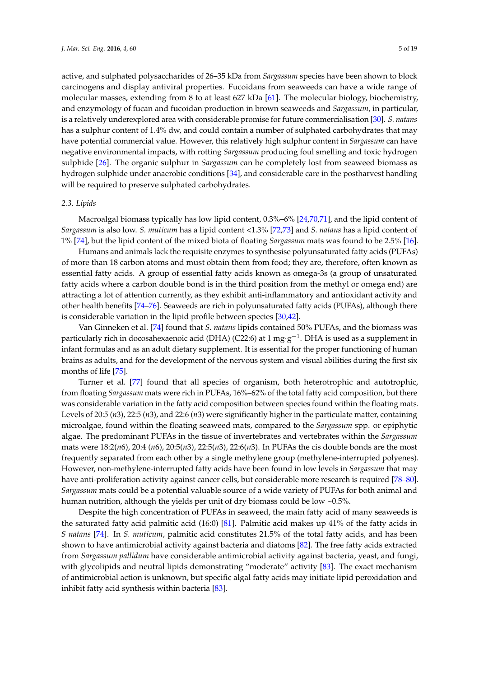active, and sulphated polysaccharides of 26–35 kDa from *Sargassum* species have been shown to block carcinogens and display antiviral properties. Fucoidans from seaweeds can have a wide range of molecular masses, extending from 8 to at least 627 kDa [\[61\]](#page-13-9). The molecular biology, biochemistry, and enzymology of fucan and fucoidan production in brown seaweeds and *Sargassum*, in particular, is a relatively underexplored area with considerable promise for future commercialisation [\[30\]](#page-12-1). *S. natans* has a sulphur content of 1.4% dw, and could contain a number of sulphated carbohydrates that may have potential commercial value. However, this relatively high sulphur content in *Sargassum* can have negative environmental impacts, with rotting *Sargassum* producing foul smelling and toxic hydrogen sulphide [\[26\]](#page-11-17). The organic sulphur in *Sargassum* can be completely lost from seaweed biomass as hydrogen sulphide under anaerobic conditions [\[34\]](#page-12-4), and considerable care in the postharvest handling will be required to preserve sulphated carbohydrates.

#### *2.3. Lipids*

Macroalgal biomass typically has low lipid content, 0.3%–6% [\[24](#page-11-20)[,70](#page-13-18)[,71\]](#page-13-19), and the lipid content of *Sargassum* is also low. *S. muticum* has a lipid content <1.3% [\[72,](#page-13-20)[73\]](#page-13-21) and *S. natans* has a lipid content of 1% [\[74\]](#page-13-22), but the lipid content of the mixed biota of floating *Sargassum* mats was found to be 2.5% [\[16\]](#page-11-9).

Humans and animals lack the requisite enzymes to synthesise polyunsaturated fatty acids (PUFAs) of more than 18 carbon atoms and must obtain them from food; they are, therefore, often known as essential fatty acids. A group of essential fatty acids known as omega-3s (a group of unsaturated fatty acids where a carbon double bond is in the third position from the methyl or omega end) are attracting a lot of attention currently, as they exhibit anti-inflammatory and antioxidant activity and other health benefits [\[74–](#page-13-22)[76\]](#page-14-0). Seaweeds are rich in polyunsaturated fatty acids (PUFAs), although there is considerable variation in the lipid profile between species [\[30,](#page-12-1)[42\]](#page-12-12).

Van Ginneken et al. [\[74\]](#page-13-22) found that *S. natans* lipids contained 50% PUFAs, and the biomass was particularly rich in docosahexaenoic acid (DHA) (C22:6) at 1 mg·g<sup>-1</sup>. DHA is used as a supplement in infant formulas and as an adult dietary supplement. It is essential for the proper functioning of human brains as adults, and for the development of the nervous system and visual abilities during the first six months of life [\[75\]](#page-13-23).

Turner et al. [\[77\]](#page-14-1) found that all species of organism, both heterotrophic and autotrophic, from floating *Sargassum* mats were rich in PUFAs, 16%–62% of the total fatty acid composition, but there was considerable variation in the fatty acid composition between species found within the floating mats. Levels of 20:5 (*n*3), 22:5 (*n*3), and 22:6 (*n*3) were significantly higher in the particulate matter, containing microalgae, found within the floating seaweed mats, compared to the *Sargassum* spp. or epiphytic algae. The predominant PUFAs in the tissue of invertebrates and vertebrates within the *Sargassum* mats were 18:2(*n*6), 20:4 (*n*6), 20:5(*n*3), 22:5(*n*3), 22:6(*n*3). In PUFAs the cis double bonds are the most frequently separated from each other by a single methylene group (methylene-interrupted polyenes). However, non-methylene-interrupted fatty acids have been found in low levels in *Sargassum* that may have anti-proliferation activity against cancer cells, but considerable more research is required [\[78–](#page-14-2)[80\]](#page-14-3). *Sargassum* mats could be a potential valuable source of a wide variety of PUFAs for both animal and human nutrition, although the yields per unit of dry biomass could be low ~0.5%.

Despite the high concentration of PUFAs in seaweed, the main fatty acid of many seaweeds is the saturated fatty acid palmitic acid (16:0) [\[81\]](#page-14-4). Palmitic acid makes up 41% of the fatty acids in *S natans* [\[74\]](#page-13-22). In *S. muticum*, palmitic acid constitutes 21.5% of the total fatty acids, and has been shown to have antimicrobial activity against bacteria and diatoms [\[82\]](#page-14-5). The free fatty acids extracted from *Sargassum pallidum* have considerable antimicrobial activity against bacteria, yeast, and fungi, with glycolipids and neutral lipids demonstrating "moderate" activity [\[83\]](#page-14-6). The exact mechanism of antimicrobial action is unknown, but specific algal fatty acids may initiate lipid peroxidation and inhibit fatty acid synthesis within bacteria [\[83\]](#page-14-6).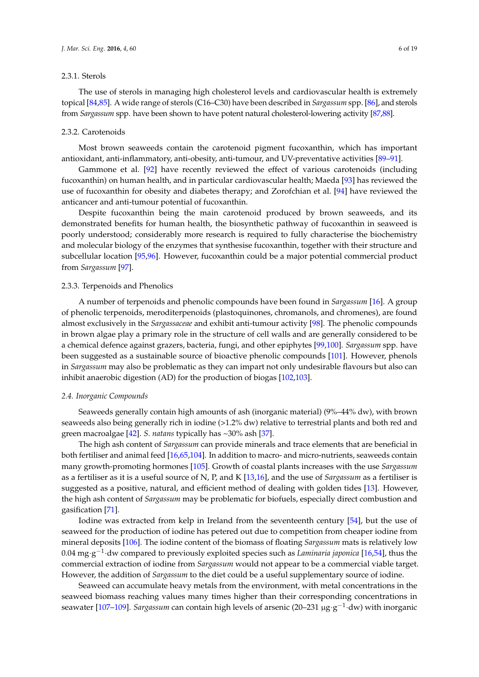## 2.3.1. Sterols

The use of sterols in managing high cholesterol levels and cardiovascular health is extremely topical [\[84](#page-14-7)[,85\]](#page-14-8). A wide range of sterols (C16–C30) have been described in *Sargassum* spp. [\[86\]](#page-14-9), and sterols from *Sargassum* spp. have been shown to have potent natural cholesterol-lowering activity [\[87,](#page-14-10)[88\]](#page-14-11).

#### 2.3.2. Carotenoids

Most brown seaweeds contain the carotenoid pigment fucoxanthin, which has important antioxidant, anti-inflammatory, anti-obesity, anti-tumour, and UV-preventative activities [\[89](#page-14-12)[–91\]](#page-14-13).

Gammone et al. [\[92\]](#page-14-14) have recently reviewed the effect of various carotenoids (including fucoxanthin) on human health, and in particular cardiovascular health; Maeda [\[93\]](#page-14-15) has reviewed the use of fucoxanthin for obesity and diabetes therapy; and Zorofchian et al. [\[94\]](#page-14-16) have reviewed the anticancer and anti-tumour potential of fucoxanthin.

Despite fucoxanthin being the main carotenoid produced by brown seaweeds, and its demonstrated benefits for human health, the biosynthetic pathway of fucoxanthin in seaweed is poorly understood; considerably more research is required to fully characterise the biochemistry and molecular biology of the enzymes that synthesise fucoxanthin, together with their structure and subcellular location [\[95](#page-14-17)[,96\]](#page-14-18). However, fucoxanthin could be a major potential commercial product from *Sargassum* [\[97\]](#page-14-19).

# 2.3.3. Terpenoids and Phenolics

A number of terpenoids and phenolic compounds have been found in *Sargassum* [\[16\]](#page-11-9). A group of phenolic terpenoids, meroditerpenoids (plastoquinones, chromanols, and chromenes), are found almost exclusively in the *Sargassaceae* and exhibit anti-tumour activity [\[98\]](#page-15-0). The phenolic compounds in brown algae play a primary role in the structure of cell walls and are generally considered to be a chemical defence against grazers, bacteria, fungi, and other epiphytes [\[99,](#page-15-1)[100\]](#page-15-2). *Sargassum* spp. have been suggested as a sustainable source of bioactive phenolic compounds [\[101\]](#page-15-3). However, phenols in *Sargassum* may also be problematic as they can impart not only undesirable flavours but also can inhibit anaerobic digestion (AD) for the production of biogas [\[102](#page-15-4)[,103\]](#page-15-5).

#### *2.4. Inorganic Compounds*

Seaweeds generally contain high amounts of ash (inorganic material) (9%–44% dw), with brown seaweeds also being generally rich in iodine (>1.2% dw) relative to terrestrial plants and both red and green macroalgae [\[42\]](#page-12-12). *S. natans* typically has ~30% ash [\[37\]](#page-12-7).

The high ash content of *Sargassum* can provide minerals and trace elements that are beneficial in both fertiliser and animal feed [\[16,](#page-11-9)[65,](#page-13-13)[104\]](#page-15-6). In addition to macro- and micro-nutrients, seaweeds contain many growth-promoting hormones [\[105\]](#page-15-7). Growth of coastal plants increases with the use *Sargassum* as a fertiliser as it is a useful source of N, P, and K [\[13](#page-11-6)[,16\]](#page-11-9), and the use of *Sargassum* as a fertiliser is suggested as a positive, natural, and efficient method of dealing with golden tides [\[13\]](#page-11-6). However, the high ash content of *Sargassum* may be problematic for biofuels, especially direct combustion and gasification [\[71\]](#page-13-19).

Iodine was extracted from kelp in Ireland from the seventeenth century [\[54\]](#page-13-2), but the use of seaweed for the production of iodine has petered out due to competition from cheaper iodine from mineral deposits [\[106\]](#page-15-8). The iodine content of the biomass of floating *Sargassum* mats is relatively low 0.04 mg·g −1 ·dw compared to previously exploited species such as *Laminaria japonica* [\[16](#page-11-9)[,54\]](#page-13-2), thus the commercial extraction of iodine from *Sargassum* would not appear to be a commercial viable target. However, the addition of *Sargassum* to the diet could be a useful supplementary source of iodine.

Seaweed can accumulate heavy metals from the environment, with metal concentrations in the seaweed biomass reaching values many times higher than their corresponding concentrations in seawater [\[107](#page-15-9)[–109\]](#page-15-10). *Sargassum* can contain high levels of arsenic (20–231 µg·g −1 ·dw) with inorganic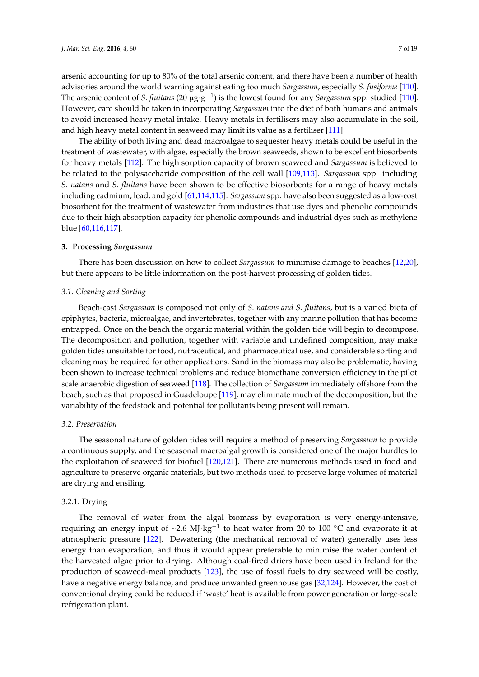arsenic accounting for up to 80% of the total arsenic content, and there have been a number of health advisories around the world warning against eating too much *Sargassum*, especially *S. fusiforme* [\[110\]](#page-15-11). The arsenic content of *S. fluitans* (20 µg·g −1 ) is the lowest found for any *Sargassum* spp. studied [\[110\]](#page-15-11). However, care should be taken in incorporating *Sargassum* into the diet of both humans and animals to avoid increased heavy metal intake. Heavy metals in fertilisers may also accumulate in the soil, and high heavy metal content in seaweed may limit its value as a fertiliser [\[111\]](#page-15-12).

The ability of both living and dead macroalgae to sequester heavy metals could be useful in the treatment of wastewater, with algae, especially the brown seaweeds, shown to be excellent biosorbents for heavy metals [\[112\]](#page-15-13). The high sorption capacity of brown seaweed and *Sargassum* is believed to be related to the polysaccharide composition of the cell wall [\[109,](#page-15-10)[113\]](#page-15-14). *Sargassum* spp. including *S. natans* and *S. fluitans* have been shown to be effective biosorbents for a range of heavy metals including cadmium, lead, and gold [\[61](#page-13-9)[,114](#page-15-15)[,115\]](#page-15-16). *Sargassum* spp. have also been suggested as a low-cost biosorbent for the treatment of wastewater from industries that use dyes and phenolic compounds due to their high absorption capacity for phenolic compounds and industrial dyes such as methylene blue [\[60](#page-13-8)[,116](#page-15-17)[,117\]](#page-15-18).

#### **3. Processing** *Sargassum*

There has been discussion on how to collect *Sargassum* to minimise damage to beaches [\[12,](#page-11-5)[20\]](#page-11-13), but there appears to be little information on the post-harvest processing of golden tides.

#### *3.1. Cleaning and Sorting*

Beach-cast *Sargassum* is composed not only of *S. natans and S. fluitans*, but is a varied biota of epiphytes, bacteria, microalgae, and invertebrates, together with any marine pollution that has become entrapped. Once on the beach the organic material within the golden tide will begin to decompose. The decomposition and pollution, together with variable and undefined composition, may make golden tides unsuitable for food, nutraceutical, and pharmaceutical use, and considerable sorting and cleaning may be required for other applications. Sand in the biomass may also be problematic, having been shown to increase technical problems and reduce biomethane conversion efficiency in the pilot scale anaerobic digestion of seaweed [\[118\]](#page-15-19). The collection of *Sargassum* immediately offshore from the beach, such as that proposed in Guadeloupe [\[119\]](#page-16-0), may eliminate much of the decomposition, but the variability of the feedstock and potential for pollutants being present will remain.

#### *3.2. Preservation*

The seasonal nature of golden tides will require a method of preserving *Sargassum* to provide a continuous supply, and the seasonal macroalgal growth is considered one of the major hurdles to the exploitation of seaweed for biofuel [\[120](#page-16-1)[,121\]](#page-16-2). There are numerous methods used in food and agriculture to preserve organic materials, but two methods used to preserve large volumes of material are drying and ensiling.

#### 3.2.1. Drying

The removal of water from the algal biomass by evaporation is very energy-intensive, requiring an energy input of ~2.6 MJ·kg<sup>-1</sup> to heat water from 20 to 100 °C and evaporate it at atmospheric pressure [\[122\]](#page-16-3). Dewatering (the mechanical removal of water) generally uses less energy than evaporation, and thus it would appear preferable to minimise the water content of the harvested algae prior to drying. Although coal-fired driers have been used in Ireland for the production of seaweed-meal products [\[123\]](#page-16-4), the use of fossil fuels to dry seaweed will be costly, have a negative energy balance, and produce unwanted greenhouse gas [\[32](#page-12-3)[,124\]](#page-16-5). However, the cost of conventional drying could be reduced if 'waste' heat is available from power generation or large-scale refrigeration plant.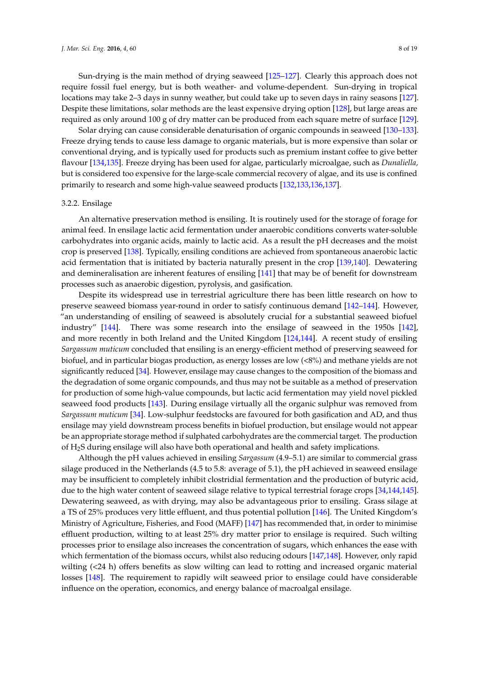Sun-drying is the main method of drying seaweed [\[125–](#page-16-6)[127\]](#page-16-7). Clearly this approach does not require fossil fuel energy, but is both weather- and volume-dependent. Sun-drying in tropical locations may take 2–3 days in sunny weather, but could take up to seven days in rainy seasons [\[127\]](#page-16-7). Despite these limitations, solar methods are the least expensive drying option [\[128\]](#page-16-8), but large areas are required as only around 100 g of dry matter can be produced from each square metre of surface [\[129\]](#page-16-9).

Solar drying can cause considerable denaturisation of organic compounds in seaweed [\[130–](#page-16-10)[133\]](#page-16-11). Freeze drying tends to cause less damage to organic materials, but is more expensive than solar or conventional drying, and is typically used for products such as premium instant coffee to give better flavour [\[134](#page-16-12)[,135\]](#page-16-13). Freeze drying has been used for algae, particularly microalgae, such as *Dunaliella,* but is considered too expensive for the large-scale commercial recovery of algae, and its use is confined primarily to research and some high-value seaweed products [\[132](#page-16-14)[,133,](#page-16-11)[136,](#page-16-15)[137\]](#page-16-16).

#### 3.2.2. Ensilage

An alternative preservation method is ensiling. It is routinely used for the storage of forage for animal feed. In ensilage lactic acid fermentation under anaerobic conditions converts water-soluble carbohydrates into organic acids, mainly to lactic acid. As a result the pH decreases and the moist crop is preserved [\[138\]](#page-16-17). Typically, ensiling conditions are achieved from spontaneous anaerobic lactic acid fermentation that is initiated by bacteria naturally present in the crop [\[139,](#page-16-18)[140\]](#page-16-19). Dewatering and demineralisation are inherent features of ensiling [\[141\]](#page-16-20) that may be of benefit for downstream processes such as anaerobic digestion, pyrolysis, and gasification.

Despite its widespread use in terrestrial agriculture there has been little research on how to preserve seaweed biomass year-round in order to satisfy continuous demand [\[142](#page-16-21)[–144\]](#page-17-0). However, "an understanding of ensiling of seaweed is absolutely crucial for a substantial seaweed biofuel industry" [\[144\]](#page-17-0). There was some research into the ensilage of seaweed in the 1950s [\[142\]](#page-16-21), and more recently in both Ireland and the United Kingdom [\[124,](#page-16-5)[144\]](#page-17-0). A recent study of ensiling *Sargassum muticum* concluded that ensiling is an energy-efficient method of preserving seaweed for biofuel, and in particular biogas production, as energy losses are low (<8%) and methane yields are not significantly reduced [\[34\]](#page-12-4). However, ensilage may cause changes to the composition of the biomass and the degradation of some organic compounds, and thus may not be suitable as a method of preservation for production of some high-value compounds, but lactic acid fermentation may yield novel pickled seaweed food products [\[143\]](#page-17-1). During ensilage virtually all the organic sulphur was removed from *Sargassum muticum* [\[34\]](#page-12-4). Low-sulphur feedstocks are favoured for both gasification and AD, and thus ensilage may yield downstream process benefits in biofuel production, but ensilage would not appear be an appropriate storage method if sulphated carbohydrates are the commercial target. The production of H2S during ensilage will also have both operational and health and safety implications.

Although the pH values achieved in ensiling *Sargassum* (4.9–5.1) are similar to commercial grass silage produced in the Netherlands (4.5 to 5.8: average of 5.1), the pH achieved in seaweed ensilage may be insufficient to completely inhibit clostridial fermentation and the production of butyric acid, due to the high water content of seaweed silage relative to typical terrestrial forage crops [\[34](#page-12-4)[,144](#page-17-0)[,145\]](#page-17-2). Dewatering seaweed, as with drying, may also be advantageous prior to ensiling. Grass silage at a TS of 25% produces very little effluent, and thus potential pollution [\[146\]](#page-17-3). The United Kingdom's Ministry of Agriculture, Fisheries, and Food (MAFF) [\[147\]](#page-17-4) has recommended that, in order to minimise effluent production, wilting to at least 25% dry matter prior to ensilage is required. Such wilting processes prior to ensilage also increases the concentration of sugars, which enhances the ease with which fermentation of the biomass occurs, whilst also reducing odours [\[147](#page-17-4)[,148\]](#page-17-5). However, only rapid wilting (<24 h) offers benefits as slow wilting can lead to rotting and increased organic material losses [\[148\]](#page-17-5). The requirement to rapidly wilt seaweed prior to ensilage could have considerable influence on the operation, economics, and energy balance of macroalgal ensilage.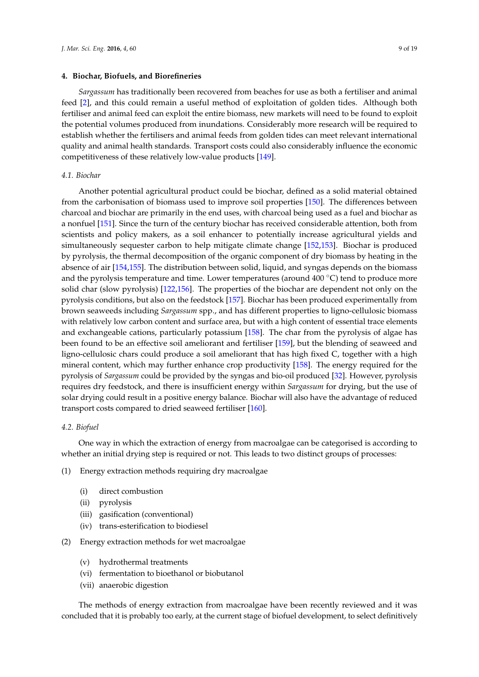## **4. Biochar, Biofuels, and Biorefineries**

*Sargassum* has traditionally been recovered from beaches for use as both a fertiliser and animal feed [\[2\]](#page-10-1), and this could remain a useful method of exploitation of golden tides. Although both fertiliser and animal feed can exploit the entire biomass, new markets will need to be found to exploit the potential volumes produced from inundations. Considerably more research will be required to establish whether the fertilisers and animal feeds from golden tides can meet relevant international quality and animal health standards. Transport costs could also considerably influence the economic competitiveness of these relatively low-value products [\[149\]](#page-17-6).

## *4.1. Biochar*

Another potential agricultural product could be biochar, defined as a solid material obtained from the carbonisation of biomass used to improve soil properties [\[150\]](#page-17-7). The differences between charcoal and biochar are primarily in the end uses, with charcoal being used as a fuel and biochar as a nonfuel [\[151\]](#page-17-8). Since the turn of the century biochar has received considerable attention, both from scientists and policy makers, as a soil enhancer to potentially increase agricultural yields and simultaneously sequester carbon to help mitigate climate change [\[152,](#page-17-9)[153\]](#page-17-10). Biochar is produced by pyrolysis, the thermal decomposition of the organic component of dry biomass by heating in the absence of air [\[154,](#page-17-11)[155\]](#page-17-12). The distribution between solid, liquid, and syngas depends on the biomass and the pyrolysis temperature and time. Lower temperatures (around  $400\degree\text{C}$ ) tend to produce more solid char (slow pyrolysis) [\[122,](#page-16-3)[156\]](#page-17-13). The properties of the biochar are dependent not only on the pyrolysis conditions, but also on the feedstock [\[157\]](#page-17-14). Biochar has been produced experimentally from brown seaweeds including *Sargassum* spp., and has different properties to ligno-cellulosic biomass with relatively low carbon content and surface area, but with a high content of essential trace elements and exchangeable cations, particularly potassium [\[158\]](#page-17-15). The char from the pyrolysis of algae has been found to be an effective soil ameliorant and fertiliser [\[159\]](#page-17-16), but the blending of seaweed and ligno-cellulosic chars could produce a soil ameliorant that has high fixed C, together with a high mineral content, which may further enhance crop productivity [\[158\]](#page-17-15). The energy required for the pyrolysis of *Sargassum* could be provided by the syngas and bio-oil produced [\[32\]](#page-12-3). However, pyrolysis requires dry feedstock, and there is insufficient energy within *Sargassum* for drying, but the use of solar drying could result in a positive energy balance. Biochar will also have the advantage of reduced transport costs compared to dried seaweed fertiliser [\[160\]](#page-17-17).

# *4.2. Biofuel*

One way in which the extraction of energy from macroalgae can be categorised is according to whether an initial drying step is required or not. This leads to two distinct groups of processes:

(1) Energy extraction methods requiring dry macroalgae

- (i) direct combustion
- (ii) pyrolysis
- (iii) gasification (conventional)
- (iv) trans-esterification to biodiesel
- (2) Energy extraction methods for wet macroalgae
	- (v) hydrothermal treatments
	- (vi) fermentation to bioethanol or biobutanol
	- (vii) anaerobic digestion

The methods of energy extraction from macroalgae have been recently reviewed and it was concluded that it is probably too early, at the current stage of biofuel development, to select definitively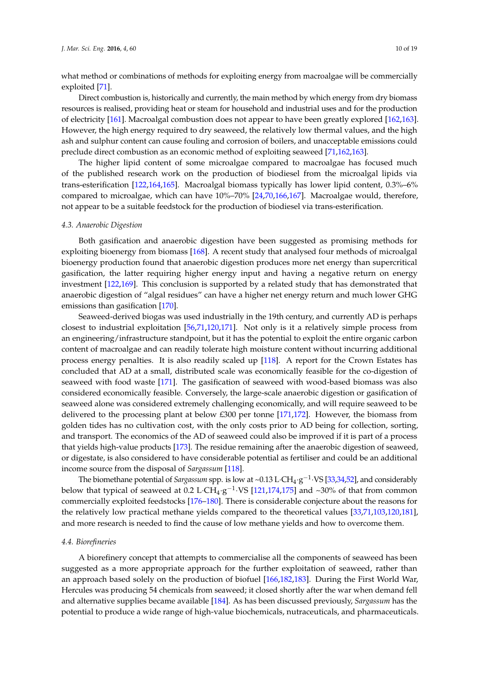what method or combinations of methods for exploiting energy from macroalgae will be commercially exploited [\[71\]](#page-13-19).

Direct combustion is, historically and currently, the main method by which energy from dry biomass resources is realised, providing heat or steam for household and industrial uses and for the production of electricity [\[161\]](#page-17-18). Macroalgal combustion does not appear to have been greatly explored [\[162,](#page-17-19)[163\]](#page-17-20). However, the high energy required to dry seaweed, the relatively low thermal values, and the high ash and sulphur content can cause fouling and corrosion of boilers, and unacceptable emissions could preclude direct combustion as an economic method of exploiting seaweed [\[71,](#page-13-19)[162](#page-17-19)[,163\]](#page-17-20).

The higher lipid content of some microalgae compared to macroalgae has focused much of the published research work on the production of biodiesel from the microalgal lipids via trans-esterification [\[122](#page-16-3)[,164](#page-17-21)[,165\]](#page-17-22). Macroalgal biomass typically has lower lipid content, 0.3%–6% compared to microalgae, which can have 10%–70% [\[24](#page-11-20)[,70](#page-13-18)[,166](#page-17-23)[,167\]](#page-17-24). Macroalgae would, therefore, not appear to be a suitable feedstock for the production of biodiesel via trans-esterification.

#### *4.3. Anaerobic Digestion*

Both gasification and anaerobic digestion have been suggested as promising methods for exploiting bioenergy from biomass [\[168\]](#page-17-25). A recent study that analysed four methods of microalgal bioenergy production found that anaerobic digestion produces more net energy than supercritical gasification, the latter requiring higher energy input and having a negative return on energy investment [\[122,](#page-16-3)[169\]](#page-18-0). This conclusion is supported by a related study that has demonstrated that anaerobic digestion of "algal residues" can have a higher net energy return and much lower GHG emissions than gasification [\[170\]](#page-18-1).

Seaweed-derived biogas was used industrially in the 19th century, and currently AD is perhaps closest to industrial exploitation [\[56,](#page-13-4)[71,](#page-13-19)[120,](#page-16-1)[171\]](#page-18-2). Not only is it a relatively simple process from an engineering/infrastructure standpoint, but it has the potential to exploit the entire organic carbon content of macroalgae and can readily tolerate high moisture content without incurring additional process energy penalties. It is also readily scaled up [\[118\]](#page-15-19). A report for the Crown Estates has concluded that AD at a small, distributed scale was economically feasible for the co-digestion of seaweed with food waste [\[171\]](#page-18-2). The gasification of seaweed with wood-based biomass was also considered economically feasible. Conversely, the large-scale anaerobic digestion or gasification of seaweed alone was considered extremely challenging economically, and will require seaweed to be delivered to the processing plant at below £300 per tonne [\[171,](#page-18-2)[172\]](#page-18-3). However, the biomass from golden tides has no cultivation cost, with the only costs prior to AD being for collection, sorting, and transport. The economics of the AD of seaweed could also be improved if it is part of a process that yields high-value products [\[173\]](#page-18-4). The residue remaining after the anaerobic digestion of seaweed, or digestate, is also considered to have considerable potential as fertiliser and could be an additional income source from the disposal of *Sargassum* [\[118\]](#page-15-19).

The biomethane potential of *Sargassum* spp. is low at ~0.13 L·CH<sub>4</sub>·g<sup>-1</sup>·VS [\[33,](#page-12-22)[34](#page-12-4)[,52\]](#page-13-0), and considerably below that typical of seaweed at 0.2 L·CH<sub>4</sub>·g<sup>-1</sup>·VS [\[121](#page-16-2)[,174](#page-18-5)[,175\]](#page-18-6) and ~30% of that from common commercially exploited feedstocks [\[176](#page-18-7)[–180\]](#page-18-8). There is considerable conjecture about the reasons for the relatively low practical methane yields compared to the theoretical values [\[33,](#page-12-22)[71,](#page-13-19)[103,](#page-15-5)[120,](#page-16-1)[181\]](#page-18-9), and more research is needed to find the cause of low methane yields and how to overcome them.

# *4.4. Biorefineries*

A biorefinery concept that attempts to commercialise all the components of seaweed has been suggested as a more appropriate approach for the further exploitation of seaweed, rather than an approach based solely on the production of biofuel [\[166,](#page-17-23)[182,](#page-18-10)[183\]](#page-18-11). During the First World War, Hercules was producing 54 chemicals from seaweed; it closed shortly after the war when demand fell and alternative supplies became available [\[184\]](#page-18-12). As has been discussed previously, *Sargassum* has the potential to produce a wide range of high-value biochemicals, nutraceuticals, and pharmaceuticals.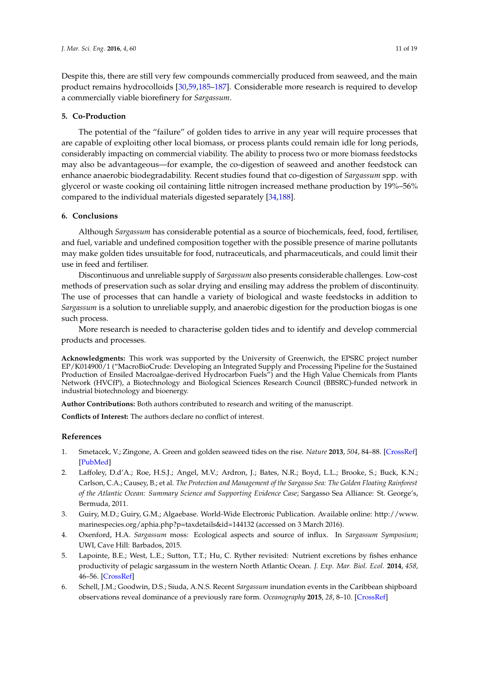Despite this, there are still very few compounds commercially produced from seaweed, and the main product remains hydrocolloids [\[30,](#page-12-1)[59,](#page-13-7)[185–](#page-18-13)[187\]](#page-18-14). Considerable more research is required to develop a commercially viable biorefinery for *Sargassum*.

# **5. Co-Production**

The potential of the "failure" of golden tides to arrive in any year will require processes that are capable of exploiting other local biomass, or process plants could remain idle for long periods, considerably impacting on commercial viability. The ability to process two or more biomass feedstocks may also be advantageous—for example, the co-digestion of seaweed and another feedstock can enhance anaerobic biodegradability. Recent studies found that co-digestion of *Sargassum* spp. with glycerol or waste cooking oil containing little nitrogen increased methane production by 19%–56% compared to the individual materials digested separately [\[34](#page-12-4)[,188\]](#page-18-15).

# **6. Conclusions**

Although *Sargassum* has considerable potential as a source of biochemicals, feed, food, fertiliser, and fuel, variable and undefined composition together with the possible presence of marine pollutants may make golden tides unsuitable for food, nutraceuticals, and pharmaceuticals, and could limit their use in feed and fertiliser.

Discontinuous and unreliable supply of *Sargassum* also presents considerable challenges. Low-cost methods of preservation such as solar drying and ensiling may address the problem of discontinuity. The use of processes that can handle a variety of biological and waste feedstocks in addition to *Sargassum* is a solution to unreliable supply, and anaerobic digestion for the production biogas is one such process.

More research is needed to characterise golden tides and to identify and develop commercial products and processes.

**Acknowledgments:** This work was supported by the University of Greenwich, the EPSRC project number EP/K014900/1 ("MacroBioCrude: Developing an Integrated Supply and Processing Pipeline for the Sustained Production of Ensiled Macroalgae-derived Hydrocarbon Fuels") and the High Value Chemicals from Plants Network (HVCfP), a Biotechnology and Biological Sciences Research Council (BBSRC)-funded network in industrial biotechnology and bioenergy.

**Author Contributions:** Both authors contributed to research and writing of the manuscript.

**Conflicts of Interest:** The authors declare no conflict of interest.

# **References**

- <span id="page-10-0"></span>1. Smetacek, V.; Zingone, A. Green and golden seaweed tides on the rise. *Nature* **2013**, *504*, 84–88. [\[CrossRef\]](http://dx.doi.org/10.1038/nature12860) [\[PubMed\]](http://www.ncbi.nlm.nih.gov/pubmed/24305152)
- <span id="page-10-1"></span>2. Laffoley, D.d'A.; Roe, H.S.J.; Angel, M.V.; Ardron, J.; Bates, N.R.; Boyd, L.L.; Brooke, S.; Buck, K.N.; Carlson, C.A.; Causey, B.; et al. *The Protection and Management of the Sargasso Sea: The Golden Floating Rainforest of the Atlantic Ocean: Summary Science and Supporting Evidence Case*; Sargasso Sea Alliance: St. George's, Bermuda, 2011.
- <span id="page-10-2"></span>3. Guiry, M.D.; Guiry, G.M.; Algaebase. World-Wide Electronic Publication. Available online: [http://www.](http://www.marinespecies.org/aphia.php?p=taxdetails&id=144132) [marinespecies.org/aphia.php?p=taxdetails&id=144132](http://www.marinespecies.org/aphia.php?p=taxdetails&id=144132) (accessed on 3 March 2016).
- <span id="page-10-3"></span>4. Oxenford, H.A. *Sargassum* moss: Ecological aspects and source of influx. In *Sargassum Symposium*; UWI, Cave Hill: Barbados, 2015.
- <span id="page-10-4"></span>5. Lapointe, B.E.; West, L.E.; Sutton, T.T.; Hu, C. Ryther revisited: Nutrient excretions by fishes enhance productivity of pelagic sargassum in the western North Atlantic Ocean. *J. Exp. Mar. Biol. Ecol.* **2014**, *458*, 46–56. [\[CrossRef\]](http://dx.doi.org/10.1016/j.jembe.2014.05.002)
- <span id="page-10-5"></span>6. Schell, J.M.; Goodwin, D.S.; Siuda, A.N.S. Recent *Sargassum* inundation events in the Caribbean shipboard observations reveal dominance of a previously rare form. *Oceanography* **2015**, *28*, 8–10. [\[CrossRef\]](http://dx.doi.org/10.5670/oceanog.2015.70)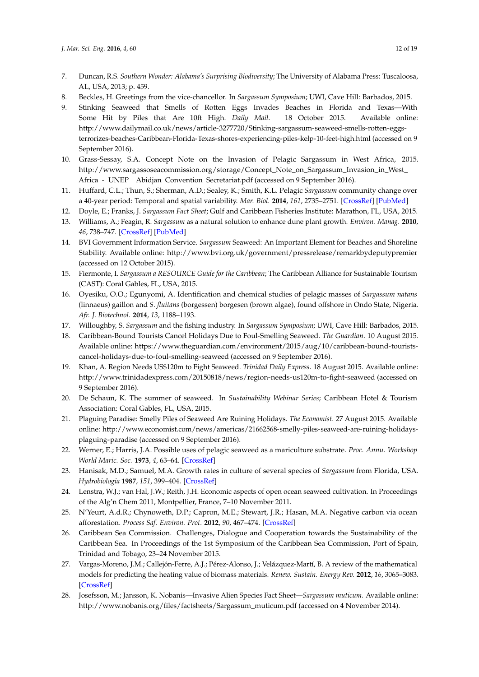- <span id="page-11-0"></span>7. Duncan, R.S. *Southern Wonder: Alabama's Surprising Biodiversity*; The University of Alabama Press: Tuscaloosa, AL, USA, 2013; p. 459.
- <span id="page-11-1"></span>8. Beckles, H. Greetings from the vice-chancellor. In *Sargassum Symposium*; UWI, Cave Hill: Barbados, 2015.
- <span id="page-11-2"></span>9. Stinking Seaweed that Smells of Rotten Eggs Invades Beaches in Florida and Texas—With Some Hit by Piles that Are 10ft High. *Daily Mail*. 18 October 2015. Available online: [http://www.dailymail.co.uk/news/article-3277720/Stinking-sargassum-seaweed-smells-rotten-eggs](http://www.dailymail.co.uk/news/article-3277720/Stinking-sargassum-seaweed-smells-rotten-eggs-terrorizes-beaches-Caribbean-Florida-Texas-shores-experiencing-piles-kelp-10-feet-high.html)[terrorizes-beaches-Caribbean-Florida-Texas-shores-experiencing-piles-kelp-10-feet-high.html](http://www.dailymail.co.uk/news/article-3277720/Stinking-sargassum-seaweed-smells-rotten-eggs-terrorizes-beaches-Caribbean-Florida-Texas-shores-experiencing-piles-kelp-10-feet-high.html) (accessed on 9 September 2016).
- <span id="page-11-3"></span>10. Grass-Sessay, S.A. Concept Note on the Invasion of Pelagic Sargassum in West Africa, 2015. [http://www.sargassoseacommission.org/storage/Concept\\_Note\\_on\\_Sargassum\\_Invasion\\_in\\_West\\_](http://www.sargassoseacommission.org/storage/Concept_Note_on_Sargassum_Invasion_in_West_Africa_-_UNEP__Abidjan_Convention_Secretariat.pdf) [Africa\\_-\\_UNEP\\_\\_Abidjan\\_Convention\\_Secretariat.pdf](http://www.sargassoseacommission.org/storage/Concept_Note_on_Sargassum_Invasion_in_West_Africa_-_UNEP__Abidjan_Convention_Secretariat.pdf) (accessed on 9 September 2016).
- <span id="page-11-4"></span>11. Huffard, C.L.; Thun, S.; Sherman, A.D.; Sealey, K.; Smith, K.L. Pelagic *Sargassum* community change over a 40-year period: Temporal and spatial variability. *Mar. Biol.* **2014**, *161*, 2735–2751. [\[CrossRef\]](http://dx.doi.org/10.1007/s00227-014-2539-y) [\[PubMed\]](http://www.ncbi.nlm.nih.gov/pubmed/25414525)
- <span id="page-11-5"></span>12. Doyle, E.; Franks, J. *Sargassum Fact Sheet*; Gulf and Caribbean Fisheries Institute: Marathon, FL, USA, 2015.
- <span id="page-11-6"></span>13. Williams, A.; Feagin, R. *Sargassum* as a natural solution to enhance dune plant growth. *Environ. Manag.* **2010**, *46*, 738–747. [\[CrossRef\]](http://dx.doi.org/10.1007/s00267-010-9558-3) [\[PubMed\]](http://www.ncbi.nlm.nih.gov/pubmed/20859628)
- <span id="page-11-7"></span>14. BVI Government Information Service. *Sargassum* Seaweed: An Important Element for Beaches and Shoreline Stability. Available online: <http://www.bvi.org.uk/government/pressrelease/remarkbydeputypremier> (accessed on 12 October 2015).
- <span id="page-11-8"></span>15. Fiermonte, I. *Sargassum a RESOURCE Guide for the Caribbean*; The Caribbean Alliance for Sustainable Tourism (CAST): Coral Gables, FL, USA, 2015.
- <span id="page-11-9"></span>16. Oyesiku, O.O.; Egunyomi, A. Identification and chemical studies of pelagic masses of *Sargassum natans* (linnaeus) gaillon and *S. fluitans* (borgessen) borgesen (brown algae), found offshore in Ondo State, Nigeria. *Afr. J. Biotechnol.* **2014**, *13*, 1188–1193.
- <span id="page-11-10"></span>17. Willoughby, S. *Sargassum* and the fishing industry. In *Sargassum Symposium*; UWI, Cave Hill: Barbados, 2015.
- <span id="page-11-11"></span>18. Caribbean-Bound Tourists Cancel Holidays Due to Foul-Smelling Seaweed. *The Guardian*. 10 August 2015. Available online: [https://www.theguardian.com/environment/2015/aug/10/caribbean-bound-tourists](https://www.theguardian.com/environment/2015/aug/10/caribbean-bound-tourists-cancel-holidays-due-to-foul-smelling-seaweed)[cancel-holidays-due-to-foul-smelling-seaweed](https://www.theguardian.com/environment/2015/aug/10/caribbean-bound-tourists-cancel-holidays-due-to-foul-smelling-seaweed) (accessed on 9 September 2016).
- <span id="page-11-12"></span>19. Khan, A. Region Needs US\$120m to Fight Seaweed. *Trinidad Daily Express*. 18 August 2015. Available online: <http://www.trinidadexpress.com/20150818/news/region-needs-us120m-to-fight-seaweed> (accessed on 9 September 2016).
- <span id="page-11-13"></span>20. De Schaun, K. The summer of seaweed. In *Sustainability Webinar Series*; Caribbean Hotel & Tourism Association: Coral Gables, FL, USA, 2015.
- <span id="page-11-14"></span>21. Plaguing Paradise: Smelly Piles of Seaweed Are Ruining Holidays. *The Economist*. 27 August 2015. Available online: [http://www.economist.com/news/americas/21662568-smelly-piles-seaweed-are-ruining-holidays](http://www.economist.com/news/americas/21662568-smelly-piles-seaweed-are-ruining-holidays-plaguing-paradise)[plaguing-paradise](http://www.economist.com/news/americas/21662568-smelly-piles-seaweed-are-ruining-holidays-plaguing-paradise) (accessed on 9 September 2016).
- <span id="page-11-15"></span>22. Werner, E.; Harris, J.A. Possible uses of pelagic seaweed as a mariculture substrate. *Proc. Annu. Workshop World Maric. Soc.* **1973**, *4*, 63–64. [\[CrossRef\]](http://dx.doi.org/10.1111/j.1749-7345.1973.tb00093.x)
- 23. Hanisak, M.D.; Samuel, M.A. Growth rates in culture of several species of *Sargassum* from Florida, USA. *Hydrobiologia* **1987**, *151*, 399–404. [\[CrossRef\]](http://dx.doi.org/10.1007/BF00046159)
- <span id="page-11-20"></span>24. Lenstra, W.J.; van Hal, J.W.; Reith, J.H. Economic aspects of open ocean seaweed cultivation. In Proceedings of the Alg'n Chem 2011, Montpellier, France, 7–10 November 2011.
- <span id="page-11-16"></span>25. N'Yeurt, A.d.R.; Chynoweth, D.P.; Capron, M.E.; Stewart, J.R.; Hasan, M.A. Negative carbon via ocean afforestation. *Process Saf. Environ. Prot.* **2012**, *90*, 467–474. [\[CrossRef\]](http://dx.doi.org/10.1016/j.psep.2012.10.008)
- <span id="page-11-17"></span>26. Caribbean Sea Commission. Challenges, Dialogue and Cooperation towards the Sustainability of the Caribbean Sea. In Proceedings of the 1st Symposium of the Caribbean Sea Commission, Port of Spain, Trinidad and Tobago, 23–24 November 2015.
- <span id="page-11-18"></span>27. Vargas-Moreno, J.M.; Callejón-Ferre, A.J.; Pérez-Alonso, J.; Velázquez-Martí, B. A review of the mathematical models for predicting the heating value of biomass materials. *Renew. Sustain. Energy Rev.* **2012**, *16*, 3065–3083. [\[CrossRef\]](http://dx.doi.org/10.1016/j.rser.2012.02.054)
- <span id="page-11-19"></span>28. Josefsson, M.; Jansson, K. Nobanis—Invasive Alien Species Fact Sheet—*Sargassum muticum*. Available online: [http://www.nobanis.org/files/factsheets/Sargassum\\_muticum.pdf](http://www.nobanis.org/files/factsheets/Sargassum_muticum.pdf) (accessed on 4 November 2014).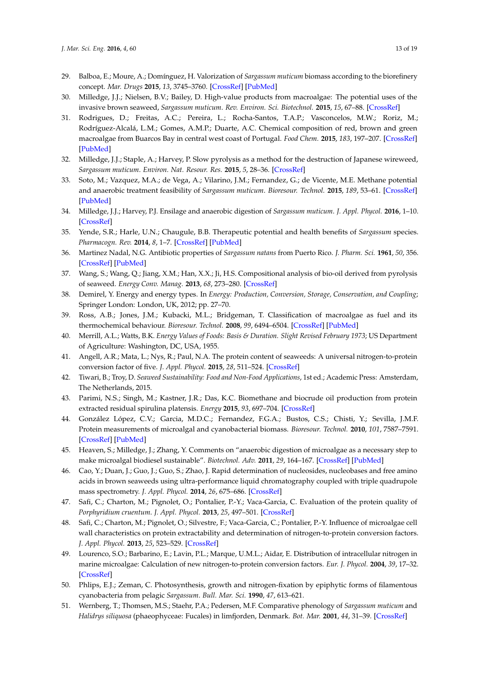- <span id="page-12-0"></span>29. Balboa, E.; Moure, A.; Domínguez, H. Valorization of *Sargassum muticum* biomass according to the biorefinery concept. *Mar. Drugs* **2015**, *13*, 3745–3760. [\[CrossRef\]](http://dx.doi.org/10.3390/md13063745) [\[PubMed\]](http://www.ncbi.nlm.nih.gov/pubmed/26110896)
- <span id="page-12-1"></span>30. Milledge, J.J.; Nielsen, B.V.; Bailey, D. High-value products from macroalgae: The potential uses of the invasive brown seaweed, *Sargassum muticum*. *Rev. Environ. Sci. Biotechnol.* **2015**, *15*, 67–88. [\[CrossRef\]](http://dx.doi.org/10.1007/s11157-015-9381-7)
- <span id="page-12-2"></span>31. Rodrigues, D.; Freitas, A.C.; Pereira, L.; Rocha-Santos, T.A.P.; Vasconcelos, M.W.; Roriz, M.; Rodríguez-Alcalá, L.M.; Gomes, A.M.P.; Duarte, A.C. Chemical composition of red, brown and green macroalgae from Buarcos Bay in central west coast of Portugal. *Food Chem.* **2015**, *183*, 197–207. [\[CrossRef\]](http://dx.doi.org/10.1016/j.foodchem.2015.03.057) [\[PubMed\]](http://www.ncbi.nlm.nih.gov/pubmed/25863629)
- <span id="page-12-3"></span>32. Milledge, J.J.; Staple, A.; Harvey, P. Slow pyrolysis as a method for the destruction of Japanese wireweed, *Sargassum muticum*. *Environ. Nat. Resour. Res.* **2015**, *5*, 28–36. [\[CrossRef\]](http://dx.doi.org/10.5539/enrr.v5n1p28)
- <span id="page-12-22"></span>33. Soto, M.; Vazquez, M.A.; de Vega, A.; Vilarino, J.M.; Fernandez, G.; de Vicente, M.E. Methane potential and anaerobic treatment feasibility of *Sargassum muticum*. *Bioresour. Technol.* **2015**, *189*, 53–61. [\[CrossRef\]](http://dx.doi.org/10.1016/j.biortech.2015.03.074) [\[PubMed\]](http://www.ncbi.nlm.nih.gov/pubmed/25864031)
- <span id="page-12-4"></span>34. Milledge, J.J.; Harvey, P.J. Ensilage and anaerobic digestion of *Sargassum muticum*. *J. Appl. Phycol.* **2016**, 1–10. [\[CrossRef\]](http://dx.doi.org/10.1007/s10811-016-0804-9)
- <span id="page-12-5"></span>35. Yende, S.R.; Harle, U.N.; Chaugule, B.B. Therapeutic potential and health benefits of *Sargassum* species. *Pharmacogn. Rev.* **2014**, *8*, 1–7. [\[CrossRef\]](http://dx.doi.org/10.4103/0973-7847.125514) [\[PubMed\]](http://www.ncbi.nlm.nih.gov/pubmed/24600190)
- <span id="page-12-6"></span>36. Martinez Nadal, N.G. Antibiotic properties of *Sargassum natans* from Puerto Rico. *J. Pharm. Sci.* **1961**, *50*, 356. [\[CrossRef\]](http://dx.doi.org/10.1002/jps.2600500420) [\[PubMed\]](http://www.ncbi.nlm.nih.gov/pubmed/13767492)
- <span id="page-12-7"></span>37. Wang, S.; Wang, Q.; Jiang, X.M.; Han, X.X.; Ji, H.S. Compositional analysis of bio-oil derived from pyrolysis of seaweed. *Energy Conv. Manag.* **2013**, *68*, 273–280. [\[CrossRef\]](http://dx.doi.org/10.1016/j.enconman.2013.01.014)
- <span id="page-12-8"></span>38. Demirel, Y. Energy and energy types. In *Energy: Production, Conversion, Storage, Conservation, and Coupling*; Springer London: London, UK, 2012; pp. 27–70.
- <span id="page-12-9"></span>39. Ross, A.B.; Jones, J.M.; Kubacki, M.L.; Bridgeman, T. Classification of macroalgae as fuel and its thermochemical behaviour. *Bioresour. Technol.* **2008**, *99*, 6494–6504. [\[CrossRef\]](http://dx.doi.org/10.1016/j.biortech.2007.11.036) [\[PubMed\]](http://www.ncbi.nlm.nih.gov/pubmed/18194859)
- <span id="page-12-10"></span>40. Merrill, A.L.; Watts, B.K. *Energy Values of Foods: Basis & Duration. Slight Revised February 1973*; US Department of Agriculture: Washington, DC, USA, 1955.
- <span id="page-12-11"></span>41. Angell, A.R.; Mata, L.; Nys, R.; Paul, N.A. The protein content of seaweeds: A universal nitrogen-to-protein conversion factor of five. *J. Appl. Phycol.* **2015**, *28*, 511–524. [\[CrossRef\]](http://dx.doi.org/10.1007/s10811-015-0650-1)
- <span id="page-12-12"></span>42. Tiwari, B.; Troy, D. *Seaweed Sustainability: Food and Non-Food Applications*, 1st ed.; Academic Press: Amsterdam, The Netherlands, 2015.
- <span id="page-12-13"></span>43. Parimi, N.S.; Singh, M.; Kastner, J.R.; Das, K.C. Biomethane and biocrude oil production from protein extracted residual spirulina platensis. *Energy* **2015**, *93*, 697–704. [\[CrossRef\]](http://dx.doi.org/10.1016/j.energy.2015.09.041)
- <span id="page-12-14"></span>44. González López, C.V.; Garcia, M.D.C.; Fernandez, F.G.A.; Bustos, C.S.; Chisti, Y.; Sevilla, J.M.F. Protein measurements of microalgal and cyanobacterial biomass. *Bioresour. Technol.* **2010**, *101*, 7587–7591. [\[CrossRef\]](http://dx.doi.org/10.1016/j.biortech.2010.04.077) [\[PubMed\]](http://www.ncbi.nlm.nih.gov/pubmed/20494571)
- <span id="page-12-15"></span>45. Heaven, S.; Milledge, J.; Zhang, Y. Comments on "anaerobic digestion of microalgae as a necessary step to make microalgal biodiesel sustainable". *Biotechnol. Adv.* **2011**, *29*, 164–167. [\[CrossRef\]](http://dx.doi.org/10.1016/j.biotechadv.2010.10.005) [\[PubMed\]](http://www.ncbi.nlm.nih.gov/pubmed/21040775)
- <span id="page-12-16"></span>46. Cao, Y.; Duan, J.; Guo, J.; Guo, S.; Zhao, J. Rapid determination of nucleosides, nucleobases and free amino acids in brown seaweeds using ultra-performance liquid chromatography coupled with triple quadrupole mass spectrometry. *J. Appl. Phycol.* **2014**, *26*, 675–686. [\[CrossRef\]](http://dx.doi.org/10.1007/s10811-013-0079-3)
- <span id="page-12-17"></span>47. Safi, C.; Charton, M.; Pignolet, O.; Pontalier, P.-Y.; Vaca-Garcia, C. Evaluation of the protein quality of *Porphyridium cruentum*. *J. Appl. Phycol.* **2013**, *25*, 497–501. [\[CrossRef\]](http://dx.doi.org/10.1007/s10811-012-9883-4)
- <span id="page-12-18"></span>48. Safi, C.; Charton, M.; Pignolet, O.; Silvestre, F.; Vaca-Garcia, C.; Pontalier, P.-Y. Influence of microalgae cell wall characteristics on protein extractability and determination of nitrogen-to-protein conversion factors. *J. Appl. Phycol.* **2013**, *25*, 523–529. [\[CrossRef\]](http://dx.doi.org/10.1007/s10811-012-9886-1)
- <span id="page-12-19"></span>49. Lourenco, S.O.; Barbarino, E.; Lavin, P.L.; Marque, U.M.L.; Aidar, E. Distribution of intracellular nitrogen in marine microalgae: Calculation of new nitrogen-to-protein conversion factors. *Eur. J. Phycol.* **2004**, *39*, 17–32. [\[CrossRef\]](http://dx.doi.org/10.1080/0967026032000157156)
- <span id="page-12-20"></span>50. Phlips, E.J.; Zeman, C. Photosynthesis, growth and nitrogen-fixation by epiphytic forms of filamentous cyanobacteria from pelagic *Sargassum*. *Bull. Mar. Sci.* **1990**, *47*, 613–621.
- <span id="page-12-21"></span>51. Wernberg, T.; Thomsen, M.S.; Staehr, P.A.; Pedersen, M.F. Comparative phenology of *Sargassum muticum* and *Halidrys siliquosa* (phaeophyceae: Fucales) in limfjorden, Denmark. *Bot. Mar.* **2001**, *44*, 31–39. [\[CrossRef\]](http://dx.doi.org/10.1515/BOT.2001.005)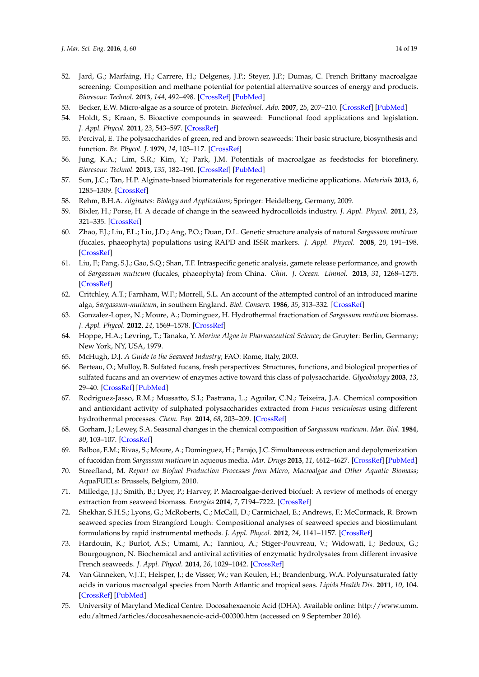- <span id="page-13-0"></span>52. Jard, G.; Marfaing, H.; Carrere, H.; Delgenes, J.P.; Steyer, J.P.; Dumas, C. French Brittany macroalgae screening: Composition and methane potential for potential alternative sources of energy and products. *Bioresour. Technol.* **2013**, *144*, 492–498. [\[CrossRef\]](http://dx.doi.org/10.1016/j.biortech.2013.06.114) [\[PubMed\]](http://www.ncbi.nlm.nih.gov/pubmed/23896436)
- <span id="page-13-1"></span>53. Becker, E.W. Micro-algae as a source of protein. *Biotechnol. Adv.* **2007**, *25*, 207–210. [\[CrossRef\]](http://dx.doi.org/10.1016/j.biotechadv.2006.11.002) [\[PubMed\]](http://www.ncbi.nlm.nih.gov/pubmed/17196357)
- <span id="page-13-2"></span>54. Holdt, S.; Kraan, S. Bioactive compounds in seaweed: Functional food applications and legislation. *J. Appl. Phycol.* **2011**, *23*, 543–597. [\[CrossRef\]](http://dx.doi.org/10.1007/s10811-010-9632-5)
- <span id="page-13-3"></span>55. Percival, E. The polysaccharides of green, red and brown seaweeds: Their basic structure, biosynthesis and function. *Br. Phycol. J.* **1979**, *14*, 103–117. [\[CrossRef\]](http://dx.doi.org/10.1080/00071617900650121)
- <span id="page-13-4"></span>56. Jung, K.A.; Lim, S.R.; Kim, Y.; Park, J.M. Potentials of macroalgae as feedstocks for biorefinery. *Bioresour. Technol.* **2013**, *135*, 182–190. [\[CrossRef\]](http://dx.doi.org/10.1016/j.biortech.2012.10.025) [\[PubMed\]](http://www.ncbi.nlm.nih.gov/pubmed/23186669)
- <span id="page-13-5"></span>57. Sun, J.C.; Tan, H.P. Alginate-based biomaterials for regenerative medicine applications. *Materials* **2013**, *6*, 1285–1309. [\[CrossRef\]](http://dx.doi.org/10.3390/ma6041285)
- <span id="page-13-6"></span>58. Rehm, B.H.A. *Alginates: Biology and Applications*; Springer: Heidelberg, Germany, 2009.
- <span id="page-13-7"></span>59. Bixler, H.; Porse, H. A decade of change in the seaweed hydrocolloids industry. *J. Appl. Phycol.* **2011**, *23*, 321–335. [\[CrossRef\]](http://dx.doi.org/10.1007/s10811-010-9529-3)
- <span id="page-13-8"></span>60. Zhao, F.J.; Liu, F.L.; Liu, J.D.; Ang, P.O.; Duan, D.L. Genetic structure analysis of natural *Sargassum muticum* (fucales, phaeophyta) populations using RAPD and ISSR markers. *J. Appl. Phycol.* **2008**, *20*, 191–198. [\[CrossRef\]](http://dx.doi.org/10.1007/s10811-007-9207-2)
- <span id="page-13-9"></span>61. Liu, F.; Pang, S.J.; Gao, S.Q.; Shan, T.F. Intraspecific genetic analysis, gamete release performance, and growth of *Sargassum muticum* (fucales, phaeophyta) from China. *Chin. J. Ocean. Limnol.* **2013**, *31*, 1268–1275. [\[CrossRef\]](http://dx.doi.org/10.1007/s00343-013-2314-9)
- <span id="page-13-10"></span>62. Critchley, A.T.; Farnham, W.F.; Morrell, S.L. An account of the attempted control of an introduced marine alga, *Sargassum-muticum*, in southern England. *Biol. Conserv.* **1986**, *35*, 313–332. [\[CrossRef\]](http://dx.doi.org/10.1016/0006-3207(86)90092-3)
- <span id="page-13-11"></span>63. Gonzalez-Lopez, N.; Moure, A.; Dominguez, H. Hydrothermal fractionation of *Sargassum muticum* biomass. *J. Appl. Phycol.* **2012**, *24*, 1569–1578. [\[CrossRef\]](http://dx.doi.org/10.1007/s10811-012-9817-1)
- <span id="page-13-12"></span>64. Hoppe, H.A.; Levring, T.; Tanaka, Y. *Marine Algae in Pharmaceutical Science*; de Gruyter: Berlin, Germany; New York, NY, USA, 1979.
- <span id="page-13-13"></span>65. McHugh, D.J. *A Guide to the Seaweed Industry*; FAO: Rome, Italy, 2003.
- <span id="page-13-14"></span>66. Berteau, O.; Mulloy, B. Sulfated fucans, fresh perspectives: Structures, functions, and biological properties of sulfated fucans and an overview of enzymes active toward this class of polysaccharide. *Glycobiology* **2003**, *13*, 29–40. [\[CrossRef\]](http://dx.doi.org/10.1093/glycob/cwg058) [\[PubMed\]](http://www.ncbi.nlm.nih.gov/pubmed/12626402)
- <span id="page-13-15"></span>67. Rodriguez-Jasso, R.M.; Mussatto, S.I.; Pastrana, L.; Aguilar, C.N.; Teixeira, J.A. Chemical composition and antioxidant activity of sulphated polysaccharides extracted from *Fucus vesiculosus* using different hydrothermal processes. *Chem. Pap.* **2014**, *68*, 203–209. [\[CrossRef\]](http://dx.doi.org/10.2478/s11696-013-0430-9)
- <span id="page-13-16"></span>68. Gorham, J.; Lewey, S.A. Seasonal changes in the chemical composition of *Sargassum muticum*. *Mar. Biol.* **1984**, *80*, 103–107. [\[CrossRef\]](http://dx.doi.org/10.1007/BF00393133)
- <span id="page-13-17"></span>69. Balboa, E.M.; Rivas, S.; Moure, A.; Dominguez, H.; Parajo, J.C. Simultaneous extraction and depolymerization of fucoidan from *Sargassum muticum* in aqueous media. *Mar. Drugs* **2013**, *11*, 4612–4627. [\[CrossRef\]](http://dx.doi.org/10.3390/md11114612) [\[PubMed\]](http://www.ncbi.nlm.nih.gov/pubmed/24284426)
- <span id="page-13-18"></span>70. Streefland, M. *Report on Biofuel Production Processes from Micro, Macroalgae and Other Aquatic Biomass*; AquaFUELs: Brussels, Belgium, 2010.
- <span id="page-13-19"></span>71. Milledge, J.J.; Smith, B.; Dyer, P.; Harvey, P. Macroalgae-derived biofuel: A review of methods of energy extraction from seaweed biomass. *Energies* **2014**, *7*, 7194–7222. [\[CrossRef\]](http://dx.doi.org/10.3390/en7117194)
- <span id="page-13-20"></span>72. Shekhar, S.H.S.; Lyons, G.; McRoberts, C.; McCall, D.; Carmichael, E.; Andrews, F.; McCormack, R. Brown seaweed species from Strangford Lough: Compositional analyses of seaweed species and biostimulant formulations by rapid instrumental methods. *J. Appl. Phycol.* **2012**, *24*, 1141–1157. [\[CrossRef\]](http://dx.doi.org/10.1007/s10811-011-9744-6)
- <span id="page-13-21"></span>73. Hardouin, K.; Burlot, A.S.; Umami, A.; Tanniou, A.; Stiger-Pouvreau, V.; Widowati, I.; Bedoux, G.; Bourgougnon, N. Biochemical and antiviral activities of enzymatic hydrolysates from different invasive French seaweeds. *J. Appl. Phycol.* **2014**, *26*, 1029–1042. [\[CrossRef\]](http://dx.doi.org/10.1007/s10811-013-0201-6)
- <span id="page-13-22"></span>74. Van Ginneken, V.J.T.; Helsper, J.; de Visser, W.; van Keulen, H.; Brandenburg, W.A. Polyunsaturated fatty acids in various macroalgal species from North Atlantic and tropical seas. *Lipids Health Dis.* **2011**, *10*, 104. [\[CrossRef\]](http://dx.doi.org/10.1186/1476-511X-10-104) [\[PubMed\]](http://www.ncbi.nlm.nih.gov/pubmed/21696609)
- <span id="page-13-23"></span>75. University of Maryland Medical Centre. Docosahexaenoic Acid (DHA). Available online: [http://www.umm.](http://www.umm.edu/altmed/articles/docosahexaenoic-acid-000300.htm) [edu/altmed/articles/docosahexaenoic-acid-000300.htm](http://www.umm.edu/altmed/articles/docosahexaenoic-acid-000300.htm) (accessed on 9 September 2016).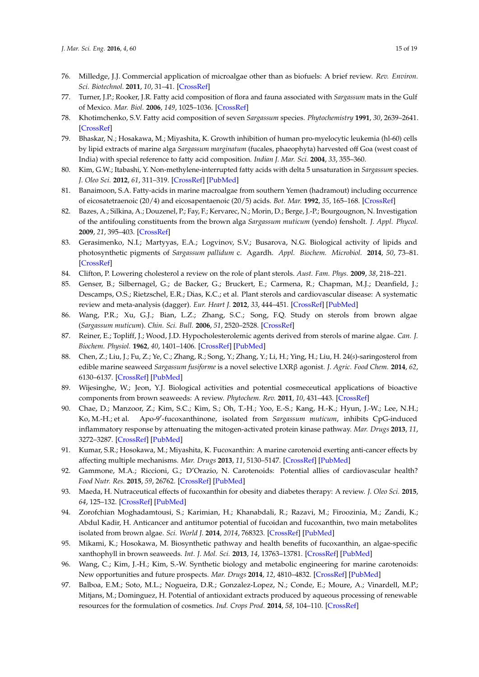- <span id="page-14-0"></span>76. Milledge, J.J. Commercial application of microalgae other than as biofuels: A brief review. *Rev. Environ. Sci. Biotechnol.* **2011**, *10*, 31–41. [\[CrossRef\]](http://dx.doi.org/10.1007/s11157-010-9214-7)
- <span id="page-14-1"></span>77. Turner, J.P.; Rooker, J.R. Fatty acid composition of flora and fauna associated with *Sargassum* mats in the Gulf of Mexico. *Mar. Biol.* **2006**, *149*, 1025–1036. [\[CrossRef\]](http://dx.doi.org/10.1007/s00227-006-0269-5)
- <span id="page-14-2"></span>78. Khotimchenko, S.V. Fatty acid composition of seven *Sargassum* species. *Phytochemistry* **1991**, *30*, 2639–2641. [\[CrossRef\]](http://dx.doi.org/10.1016/0031-9422(91)85113-E)
- 79. Bhaskar, N.; Hosakawa, M.; Miyashita, K. Growth inhibition of human pro-myelocytic leukemia (hl-60) cells by lipid extracts of marine alga *Sargassum marginatum* (fucales, phaeophyta) harvested off Goa (west coast of India) with special reference to fatty acid composition. *Indian J. Mar. Sci.* **2004**, *33*, 355–360.
- <span id="page-14-3"></span>80. Kim, G.W.; Itabashi, Y. Non-methylene-interrupted fatty acids with delta 5 unsaturation in *Sargassum* species. *J. Oleo Sci.* **2012**, *61*, 311–319. [\[CrossRef\]](http://dx.doi.org/10.5650/jos.61.311) [\[PubMed\]](http://www.ncbi.nlm.nih.gov/pubmed/22687776)
- <span id="page-14-4"></span>81. Banaimoon, S.A. Fatty-acids in marine macroalgae from southern Yemen (hadramout) including occurrence of eicosatetraenoic (20/4) and eicosapentaenoic (20/5) acids. *Bot. Mar.* **1992**, *35*, 165–168. [\[CrossRef\]](http://dx.doi.org/10.1515/botm.1992.35.2.165)
- <span id="page-14-5"></span>82. Bazes, A.; Silkina, A.; Douzenel, P.; Fay, F.; Kervarec, N.; Morin, D.; Berge, J.-P.; Bourgougnon, N. Investigation of the antifouling constituents from the brown alga *Sargassum muticum* (yendo) fensholt. *J. Appl. Phycol.* **2009**, *21*, 395–403. [\[CrossRef\]](http://dx.doi.org/10.1007/s10811-008-9382-9)
- <span id="page-14-6"></span>83. Gerasimenko, N.I.; Martyyas, E.A.; Logvinov, S.V.; Busarova, N.G. Biological activity of lipids and photosynthetic pigments of *Sargassum pallidum* c. Agardh. *Appl. Biochem. Microbiol.* **2014**, *50*, 73–81. [\[CrossRef\]](http://dx.doi.org/10.1134/S0003683814010037)
- <span id="page-14-7"></span>84. Clifton, P. Lowering cholesterol a review on the role of plant sterols. *Aust. Fam. Phys.* **2009**, *38*, 218–221.
- <span id="page-14-8"></span>85. Genser, B.; Silbernagel, G.; de Backer, G.; Bruckert, E.; Carmena, R.; Chapman, M.J.; Deanfield, J.; Descamps, O.S.; Rietzschel, E.R.; Dias, K.C.; et al. Plant sterols and cardiovascular disease: A systematic review and meta-analysis (dagger). *Eur. Heart J.* **2012**, *33*, 444–451. [\[CrossRef\]](http://dx.doi.org/10.1093/eurheartj/ehr441) [\[PubMed\]](http://www.ncbi.nlm.nih.gov/pubmed/22334625)
- <span id="page-14-9"></span>86. Wang, P.R.; Xu, G.J.; Bian, L.Z.; Zhang, S.C.; Song, F.Q. Study on sterols from brown algae (*Sargassum muticum*). *Chin. Sci. Bull.* **2006**, *51*, 2520–2528. [\[CrossRef\]](http://dx.doi.org/10.1007/s11434-006-2124-y)
- <span id="page-14-10"></span>87. Reiner, E.; Topliff, J.; Wood, J.D. Hypocholesterolemic agents derived from sterols of marine algae. *Can. J. Biochem. Physiol.* **1962**, *40*, 1401–1406. [\[CrossRef\]](http://dx.doi.org/10.1139/o62-157) [\[PubMed\]](http://www.ncbi.nlm.nih.gov/pubmed/14491261)
- <span id="page-14-11"></span>88. Chen, Z.; Liu, J.; Fu, Z.; Ye, C.; Zhang, R.; Song, Y.; Zhang, Y.; Li, H.; Ying, H.; Liu, H. 24(*s*)-saringosterol from edible marine seaweed *Sargassum fusiforme* is a novel selective LXRβ agonist. *J. Agric. Food Chem.* **2014**, *62*, 6130–6137. [\[CrossRef\]](http://dx.doi.org/10.1021/jf500083r) [\[PubMed\]](http://www.ncbi.nlm.nih.gov/pubmed/24927286)
- <span id="page-14-12"></span>89. Wijesinghe, W.; Jeon, Y.J. Biological activities and potential cosmeceutical applications of bioactive components from brown seaweeds: A review. *Phytochem. Rev.* **2011**, *10*, 431–443. [\[CrossRef\]](http://dx.doi.org/10.1007/s11101-011-9214-4)
- 90. Chae, D.; Manzoor, Z.; Kim, S.C.; Kim, S.; Oh, T.-H.; Yoo, E.-S.; Kang, H.-K.; Hyun, J.-W.; Lee, N.H.;  $K$ o, M.-H.; et al. -fucoxanthinone, isolated from *Sargassum muticum*, inhibits CpG-induced inflammatory response by attenuating the mitogen-activated protein kinase pathway. *Mar. Drugs* **2013**, *11*, 3272–3287. [\[CrossRef\]](http://dx.doi.org/10.3390/md11093272) [\[PubMed\]](http://www.ncbi.nlm.nih.gov/pubmed/23985898)
- <span id="page-14-13"></span>91. Kumar, S.R.; Hosokawa, M.; Miyashita, K. Fucoxanthin: A marine carotenoid exerting anti-cancer effects by affecting multiple mechanisms. *Mar. Drugs* **2013**, *11*, 5130–5147. [\[CrossRef\]](http://dx.doi.org/10.3390/md11125130) [\[PubMed\]](http://www.ncbi.nlm.nih.gov/pubmed/24351910)
- <span id="page-14-14"></span>92. Gammone, M.A.; Riccioni, G.; D'Orazio, N. Carotenoids: Potential allies of cardiovascular health? *Food Nutr. Res.* **2015**, *59*, 26762. [\[CrossRef\]](http://dx.doi.org/10.3402/fnr.v59.26762) [\[PubMed\]](http://www.ncbi.nlm.nih.gov/pubmed/25660385)
- <span id="page-14-15"></span>93. Maeda, H. Nutraceutical effects of fucoxanthin for obesity and diabetes therapy: A review. *J. Oleo Sci.* **2015**, *64*, 125–132. [\[CrossRef\]](http://dx.doi.org/10.5650/jos.ess14226) [\[PubMed\]](http://www.ncbi.nlm.nih.gov/pubmed/25748372)
- <span id="page-14-16"></span>94. Zorofchian Moghadamtousi, S.; Karimian, H.; Khanabdali, R.; Razavi, M.; Firoozinia, M.; Zandi, K.; Abdul Kadir, H. Anticancer and antitumor potential of fucoidan and fucoxanthin, two main metabolites isolated from brown algae. *Sci. World J.* **2014**, *2014*, 768323. [\[CrossRef\]](http://dx.doi.org/10.1155/2014/768323) [\[PubMed\]](http://www.ncbi.nlm.nih.gov/pubmed/24526922)
- <span id="page-14-17"></span>95. Mikami, K.; Hosokawa, M. Biosynthetic pathway and health benefits of fucoxanthin, an algae-specific xanthophyll in brown seaweeds. *Int. J. Mol. Sci.* **2013**, *14*, 13763–13781. [\[CrossRef\]](http://dx.doi.org/10.3390/ijms140713763) [\[PubMed\]](http://www.ncbi.nlm.nih.gov/pubmed/23820585)
- <span id="page-14-18"></span>96. Wang, C.; Kim, J.-H.; Kim, S.-W. Synthetic biology and metabolic engineering for marine carotenoids: New opportunities and future prospects. *Mar. Drugs* **2014**, *12*, 4810–4832. [\[CrossRef\]](http://dx.doi.org/10.3390/md12094810) [\[PubMed\]](http://www.ncbi.nlm.nih.gov/pubmed/25233369)
- <span id="page-14-19"></span>97. Balboa, E.M.; Soto, M.L.; Nogueira, D.R.; Gonzalez-Lopez, N.; Conde, E.; Moure, A.; Vinardell, M.P.; Mitjans, M.; Dominguez, H. Potential of antioxidant extracts produced by aqueous processing of renewable resources for the formulation of cosmetics. *Ind. Crops Prod.* **2014**, *58*, 104–110. [\[CrossRef\]](http://dx.doi.org/10.1016/j.indcrop.2014.03.041)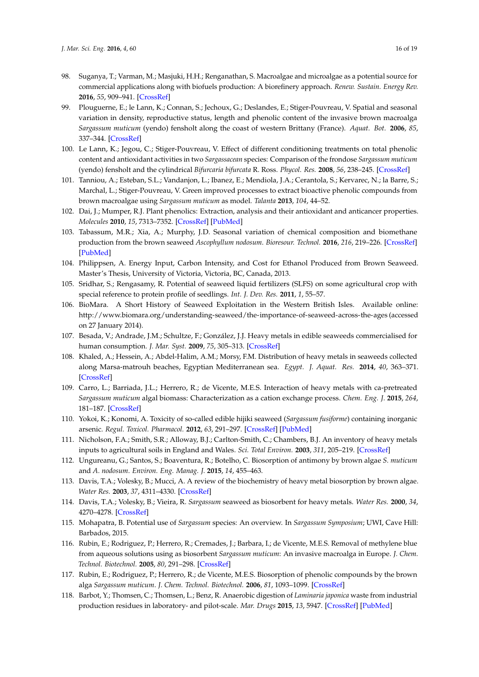- <span id="page-15-0"></span>98. Suganya, T.; Varman, M.; Masjuki, H.H.; Renganathan, S. Macroalgae and microalgae as a potential source for commercial applications along with biofuels production: A biorefinery approach. *Renew. Sustain. Energy Rev.* **2016**, *55*, 909–941. [\[CrossRef\]](http://dx.doi.org/10.1016/j.rser.2015.11.026)
- <span id="page-15-1"></span>99. Plouguerne, E.; le Lann, K.; Connan, S.; Jechoux, G.; Deslandes, E.; Stiger-Pouvreau, V. Spatial and seasonal variation in density, reproductive status, length and phenolic content of the invasive brown macroalga *Sargassum muticum* (yendo) fensholt along the coast of western Brittany (France). *Aquat. Bot.* **2006**, *85*, 337–344. [\[CrossRef\]](http://dx.doi.org/10.1016/j.aquabot.2006.06.011)
- <span id="page-15-2"></span>100. Le Lann, K.; Jegou, C.; Stiger-Pouvreau, V. Effect of different conditioning treatments on total phenolic content and antioxidant activities in two *Sargassacean* species: Comparison of the frondose *Sargassum muticum* (yendo) fensholt and the cylindrical *Bifurcaria bifurcata* R. Ross. *Phycol. Res.* **2008**, *56*, 238–245. [\[CrossRef\]](http://dx.doi.org/10.1111/j.1440-1835.2008.00505.x)
- <span id="page-15-3"></span>101. Tanniou, A.; Esteban, S.L.; Vandanjon, L.; Ibanez, E.; Mendiola, J.A.; Cerantola, S.; Kervarec, N.; la Barre, S.; Marchal, L.; Stiger-Pouvreau, V. Green improved processes to extract bioactive phenolic compounds from brown macroalgae using *Sargassum muticum* as model. *Talanta* **2013**, *104*, 44–52.
- <span id="page-15-4"></span>102. Dai, J.; Mumper, R.J. Plant phenolics: Extraction, analysis and their antioxidant and anticancer properties. *Molecules* **2010**, *15*, 7313–7352. [\[CrossRef\]](http://dx.doi.org/10.3390/molecules15107313) [\[PubMed\]](http://www.ncbi.nlm.nih.gov/pubmed/20966876)
- <span id="page-15-5"></span>103. Tabassum, M.R.; Xia, A.; Murphy, J.D. Seasonal variation of chemical composition and biomethane production from the brown seaweed *Ascophyllum nodosum*. *Bioresour. Technol.* **2016**, *216*, 219–226. [\[CrossRef\]](http://dx.doi.org/10.1016/j.biortech.2016.05.071) [\[PubMed\]](http://www.ncbi.nlm.nih.gov/pubmed/27240238)
- <span id="page-15-6"></span>104. Philippsen, A. Energy Input, Carbon Intensity, and Cost for Ethanol Produced from Brown Seaweed. Master's Thesis, University of Victoria, Victoria, BC, Canada, 2013.
- <span id="page-15-7"></span>105. Sridhar, S.; Rengasamy, R. Potential of seaweed liquid fertilizers (SLFS) on some agricultural crop with special reference to protein profile of seedlings. *Int. J. Dev. Res.* **2011**, *1*, 55–57.
- <span id="page-15-8"></span>106. BioMara. A Short History of Seaweed Exploitation in the Western British Isles. Available online: <http://www.biomara.org/understanding-seaweed/the-importance-of-seaweed-across-the-ages> (accessed on 27 January 2014).
- <span id="page-15-9"></span>107. Besada, V.; Andrade, J.M.; Schultze, F.; González, J.J. Heavy metals in edible seaweeds commercialised for human consumption. *J. Mar. Syst.* **2009**, *75*, 305–313. [\[CrossRef\]](http://dx.doi.org/10.1016/j.jmarsys.2008.10.010)
- 108. Khaled, A.; Hessein, A.; Abdel-Halim, A.M.; Morsy, F.M. Distribution of heavy metals in seaweeds collected along Marsa-matrouh beaches, Egyptian Mediterranean sea. *Egypt. J. Aquat. Res.* **2014**, *40*, 363–371. [\[CrossRef\]](http://dx.doi.org/10.1016/j.ejar.2014.11.007)
- <span id="page-15-10"></span>109. Carro, L.; Barriada, J.L.; Herrero, R.; de Vicente, M.E.S. Interaction of heavy metals with ca-pretreated *Sargassum muticum* algal biomass: Characterization as a cation exchange process. *Chem. Eng. J.* **2015**, *264*, 181–187. [\[CrossRef\]](http://dx.doi.org/10.1016/j.cej.2014.11.079)
- <span id="page-15-11"></span>110. Yokoi, K.; Konomi, A. Toxicity of so-called edible hijiki seaweed (*Sargassum fusiforme*) containing inorganic arsenic. *Regul. Toxicol. Pharmacol.* **2012**, *63*, 291–297. [\[CrossRef\]](http://dx.doi.org/10.1016/j.yrtph.2012.04.006) [\[PubMed\]](http://www.ncbi.nlm.nih.gov/pubmed/22561181)
- <span id="page-15-12"></span>111. Nicholson, F.A.; Smith, S.R.; Alloway, B.J.; Carlton-Smith, C.; Chambers, B.J. An inventory of heavy metals inputs to agricultural soils in England and Wales. *Sci. Total Environ.* **2003**, *311*, 205–219. [\[CrossRef\]](http://dx.doi.org/10.1016/S0048-9697(03)00139-6)
- <span id="page-15-13"></span>112. Ungureanu, G.; Santos, S.; Boaventura, R.; Botelho, C. Biosorption of antimony by brown algae *S. muticum* and *A. nodosum*. *Environ. Eng. Manag. J.* **2015**, *14*, 455–463.
- <span id="page-15-14"></span>113. Davis, T.A.; Volesky, B.; Mucci, A. A review of the biochemistry of heavy metal biosorption by brown algae. *Water Res.* **2003**, *37*, 4311–4330. [\[CrossRef\]](http://dx.doi.org/10.1016/S0043-1354(03)00293-8)
- <span id="page-15-15"></span>114. Davis, T.A.; Volesky, B.; Vieira, R. *Sargassum* seaweed as biosorbent for heavy metals. *Water Res.* **2000**, *34*, 4270–4278. [\[CrossRef\]](http://dx.doi.org/10.1016/S0043-1354(00)00177-9)
- <span id="page-15-16"></span>115. Mohapatra, B. Potential use of *Sargassum* species: An overview. In *Sargassum Symposium*; UWI, Cave Hill: Barbados, 2015.
- <span id="page-15-17"></span>116. Rubin, E.; Rodriguez, P.; Herrero, R.; Cremades, J.; Barbara, I.; de Vicente, M.E.S. Removal of methylene blue from aqueous solutions using as biosorbent *Sargassum muticum*: An invasive macroalga in Europe. *J. Chem. Technol. Biotechnol.* **2005**, *80*, 291–298. [\[CrossRef\]](http://dx.doi.org/10.1002/jctb.1192)
- <span id="page-15-18"></span>117. Rubin, E.; Rodriguez, P.; Herrero, R.; de Vicente, M.E.S. Biosorption of phenolic compounds by the brown alga *Sargassum muticum*. *J. Chem. Technol. Biotechnol.* **2006**, *81*, 1093–1099. [\[CrossRef\]](http://dx.doi.org/10.1002/jctb.1430)
- <span id="page-15-19"></span>118. Barbot, Y.; Thomsen, C.; Thomsen, L.; Benz, R. Anaerobic digestion of *Laminaria japonica* waste from industrial production residues in laboratory- and pilot-scale. *Mar. Drugs* **2015**, *13*, 5947. [\[CrossRef\]](http://dx.doi.org/10.3390/md13095947) [\[PubMed\]](http://www.ncbi.nlm.nih.gov/pubmed/26393620)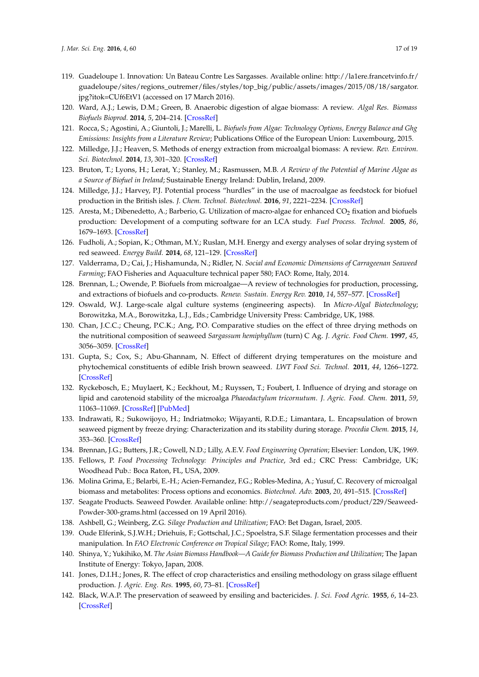- <span id="page-16-0"></span>119. Guadeloupe 1. Innovation: Un Bateau Contre Les Sargasses. Available online: [http://la1ere.francetvinfo.fr/](http://la1ere.francetvinfo.fr/guadeloupe/sites/regions_outremer/files/styles/top_big/public/assets/images/2015/08/18/sargator.jpg?itok=CUf6EtV1) [guadeloupe/sites/regions\\_outremer/files/styles/top\\_big/public/assets/images/2015/08/18/sargator.](http://la1ere.francetvinfo.fr/guadeloupe/sites/regions_outremer/files/styles/top_big/public/assets/images/2015/08/18/sargator.jpg?itok=CUf6EtV1) [jpg?itok=CUf6EtV1](http://la1ere.francetvinfo.fr/guadeloupe/sites/regions_outremer/files/styles/top_big/public/assets/images/2015/08/18/sargator.jpg?itok=CUf6EtV1) (accessed on 17 March 2016).
- <span id="page-16-1"></span>120. Ward, A.J.; Lewis, D.M.; Green, B. Anaerobic digestion of algae biomass: A review. *Algal Res. Biomass Biofuels Bioprod.* **2014**, *5*, 204–214. [\[CrossRef\]](http://dx.doi.org/10.1016/j.algal.2014.02.001)
- <span id="page-16-2"></span>121. Rocca, S.; Agostini, A.; Giuntoli, J.; Marelli, L. *Biofuels from Algae: Technology Options, Energy Balance and Ghg Emissions: Insights from a Literature Review*; Publications Office of the European Union: Luxembourg, 2015.
- <span id="page-16-3"></span>122. Milledge, J.J.; Heaven, S. Methods of energy extraction from microalgal biomass: A review. *Rev. Environ. Sci. Biotechnol.* **2014**, *13*, 301–320. [\[CrossRef\]](http://dx.doi.org/10.1007/s11157-014-9339-1)
- <span id="page-16-4"></span>123. Bruton, T.; Lyons, H.; Lerat, Y.; Stanley, M.; Rasmussen, M.B. *A Review of the Potential of Marine Algae as a Source of Biofuel in Ireland*; Sustainable Energy Ireland: Dublin, Ireland, 2009.
- <span id="page-16-5"></span>124. Milledge, J.J.; Harvey, P.J. Potential process "hurdles" in the use of macroalgae as feedstock for biofuel production in the British isles. *J. Chem. Technol. Biotechnol.* **2016**, *91*, 2221–2234. [\[CrossRef\]](http://dx.doi.org/10.1002/jctb.5003)
- <span id="page-16-6"></span>125. Aresta, M.; Dibenedetto, A.; Barberio, G. Utilization of macro-algae for enhanced  $CO_2$  fixation and biofuels production: Development of a computing software for an LCA study. *Fuel Process. Technol.* **2005**, *86*, 1679–1693. [\[CrossRef\]](http://dx.doi.org/10.1016/j.fuproc.2005.01.016)
- 126. Fudholi, A.; Sopian, K.; Othman, M.Y.; Ruslan, M.H. Energy and exergy analyses of solar drying system of red seaweed. *Energy Build.* **2014**, *68*, 121–129. [\[CrossRef\]](http://dx.doi.org/10.1016/j.enbuild.2013.07.072)
- <span id="page-16-7"></span>127. Valderrama, D.; Cai, J.; Hishamunda, N.; Ridler, N. *Social and Economic Dimensions of Carrageenan Seaweed Farming*; FAO Fisheries and Aquaculture technical paper 580; FAO: Rome, Italy, 2014.
- <span id="page-16-8"></span>128. Brennan, L.; Owende, P. Biofuels from microalgae—A review of technologies for production, processing, and extractions of biofuels and co-products. *Renew. Sustain. Energy Rev.* **2010**, *14*, 557–577. [\[CrossRef\]](http://dx.doi.org/10.1016/j.rser.2009.10.009)
- <span id="page-16-9"></span>129. Oswald, W.J. Large-scale algal culture systems (engineering aspects). In *Micro-Algal Biotechnology*; Borowitzka, M.A., Borowitzka, L.J., Eds.; Cambridge University Press: Cambridge, UK, 1988.
- <span id="page-16-10"></span>130. Chan, J.C.C.; Cheung, P.C.K.; Ang, P.O. Comparative studies on the effect of three drying methods on the nutritional composition of seaweed *Sargassum hemiphyllum* (turn) C Ag. *J. Agric. Food Chem.* **1997**, *45*, 3056–3059. [\[CrossRef\]](http://dx.doi.org/10.1021/jf9701749)
- 131. Gupta, S.; Cox, S.; Abu-Ghannam, N. Effect of different drying temperatures on the moisture and phytochemical constituents of edible Irish brown seaweed. *LWT Food Sci. Technol.* **2011**, *44*, 1266–1272. [\[CrossRef\]](http://dx.doi.org/10.1016/j.lwt.2010.12.022)
- <span id="page-16-14"></span>132. Ryckebosch, E.; Muylaert, K.; Eeckhout, M.; Ruyssen, T.; Foubert, I. Influence of drying and storage on lipid and carotenoid stability of the microalga *Phaeodactylum tricornutum*. *J. Agric. Food. Chem.* **2011**, *59*, 11063–11069. [\[CrossRef\]](http://dx.doi.org/10.1021/jf2025456) [\[PubMed\]](http://www.ncbi.nlm.nih.gov/pubmed/21866882)
- <span id="page-16-11"></span>133. Indrawati, R.; Sukowijoyo, H.; Indriatmoko; Wijayanti, R.D.E.; Limantara, L. Encapsulation of brown seaweed pigment by freeze drying: Characterization and its stability during storage. *Procedia Chem.* **2015**, *14*, 353–360. [\[CrossRef\]](http://dx.doi.org/10.1016/j.proche.2015.03.048)
- <span id="page-16-12"></span>134. Brennan, J.G.; Butters, J.R.; Cowell, N.D.; Lilly, A.E.V. *Food Engineering Operation*; Elsevier: London, UK, 1969.
- <span id="page-16-13"></span>135. Fellows, P. *Food Processing Technology: Principles and Practice*, 3rd ed.; CRC Press: Cambridge, UK; Woodhead Pub.: Boca Raton, FL, USA, 2009.
- <span id="page-16-15"></span>136. Molina Grima, E.; Belarbi, E.-H.; Acien-Fernandez, F.G.; Robles-Medina, A.; Yusuf, C. Recovery of microalgal biomass and metabolites: Process options and economics. *Biotechnol. Adv.* **2003**, *20*, 491–515. [\[CrossRef\]](http://dx.doi.org/10.1016/S0734-9750(02)00050-2)
- <span id="page-16-16"></span>137. Seagate Products. Seaweed Powder. Available online: [http://seagateproducts.com/product/229/Seaweed-](http://seagateproducts.com/product/229/Seaweed-Powder-300-grams.html)[Powder-300-grams.html](http://seagateproducts.com/product/229/Seaweed-Powder-300-grams.html) (accessed on 19 April 2016).
- <span id="page-16-17"></span>138. Ashbell, G.; Weinberg, Z.G. *Silage Production and Utilization*; FAO: Bet Dagan, Israel, 2005.
- <span id="page-16-18"></span>139. Oude Elferink, S.J.W.H.; Driehuis, F.; Gottschal, J.C.; Spoelstra, S.F. Silage fermentation processes and their manipulation. In *FAO Electronic Conference on Tropical Silage*; FAO: Rome, Italy, 1999.
- <span id="page-16-19"></span>140. Shinya, Y.; Yukihiko, M. *The Asian Biomass Handbook—A Guide for Biomass Production and Utilization*; The Japan Institute of Energy: Tokyo, Japan, 2008.
- <span id="page-16-20"></span>141. Jones, D.I.H.; Jones, R. The effect of crop characteristics and ensiling methodology on grass silage effluent production. *J. Agric. Eng. Res.* **1995**, *60*, 73–81. [\[CrossRef\]](http://dx.doi.org/10.1006/jaer.1995.1001)
- <span id="page-16-21"></span>142. Black, W.A.P. The preservation of seaweed by ensiling and bactericides. *J. Sci. Food Agric.* **1955**, *6*, 14–23. [\[CrossRef\]](http://dx.doi.org/10.1002/jsfa.2740060104)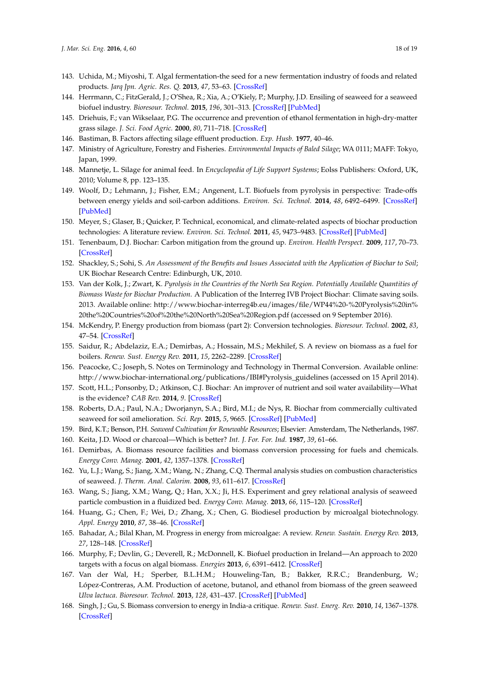- <span id="page-17-1"></span>143. Uchida, M.; Miyoshi, T. Algal fermentation-the seed for a new fermentation industry of foods and related products. *Jarq Jpn. Agric. Res. Q.* **2013**, *47*, 53–63. [\[CrossRef\]](http://dx.doi.org/10.6090/jarq.47.53)
- <span id="page-17-0"></span>144. Herrmann, C.; FitzGerald, J.; O'Shea, R.; Xia, A.; O'Kiely, P.; Murphy, J.D. Ensiling of seaweed for a seaweed biofuel industry. *Bioresour. Technol.* **2015**, *196*, 301–313. [\[CrossRef\]](http://dx.doi.org/10.1016/j.biortech.2015.07.098) [\[PubMed\]](http://www.ncbi.nlm.nih.gov/pubmed/26253914)
- <span id="page-17-2"></span>145. Driehuis, F.; van Wikselaar, P.G. The occurrence and prevention of ethanol fermentation in high-dry-matter grass silage. *J. Sci. Food Agric.* **2000**, *80*, 711–718. [\[CrossRef\]](http://dx.doi.org/10.1002/(SICI)1097-0010(20000501)80:6<711::AID-JSFA593>3.0.CO;2-6)
- <span id="page-17-4"></span><span id="page-17-3"></span>146. Bastiman, B. Factors affecting silage effluent production. *Exp. Husb.* **1977**, 40–46.
- 147. Ministry of Agriculture, Forestry and Fisheries. *Environmental Impacts of Baled Silage*; WA 0111; MAFF: Tokyo, Japan, 1999.
- <span id="page-17-5"></span>148. Mannetje, L. Silage for animal feed. In *Encyclopedia of Life Support Systems*; Eolss Publishers: Oxford, UK, 2010; Volume 8, pp. 123–135.
- <span id="page-17-6"></span>149. Woolf, D.; Lehmann, J.; Fisher, E.M.; Angenent, L.T. Biofuels from pyrolysis in perspective: Trade-offs between energy yields and soil-carbon additions. *Environ. Sci. Technol.* **2014**, *48*, 6492–6499. [\[CrossRef\]](http://dx.doi.org/10.1021/es500474q) [\[PubMed\]](http://www.ncbi.nlm.nih.gov/pubmed/24787482)
- <span id="page-17-7"></span>150. Meyer, S.; Glaser, B.; Quicker, P. Technical, economical, and climate-related aspects of biochar production technologies: A literature review. *Environ. Sci. Technol.* **2011**, *45*, 9473–9483. [\[CrossRef\]](http://dx.doi.org/10.1021/es201792c) [\[PubMed\]](http://www.ncbi.nlm.nih.gov/pubmed/21961528)
- <span id="page-17-8"></span>151. Tenenbaum, D.J. Biochar: Carbon mitigation from the ground up. *Environ. Health Perspect.* **2009**, *117*, 70–73. [\[CrossRef\]](http://dx.doi.org/10.1289/ehp.117-a70)
- <span id="page-17-9"></span>152. Shackley, S.; Sohi, S. *An Assessment of the Benefits and Issues Associated with the Application of Biochar to Soil*; UK Biochar Research Centre: Edinburgh, UK, 2010.
- <span id="page-17-10"></span>153. Van der Kolk, J.; Zwart, K. *Pyrolysis in the Countries of the North Sea Region. Potentially Available Quantities of Biomass Waste for Biochar Production*. A Publication of the Interreg IVB Project Biochar: Climate saving soils. 2013. Available online: [http://www.biochar-interreg4b.eu/images/file/WP44%20-%20Pyrolysis%20in%](http://www.biochar-interreg4b.eu/images/file/WP44%20-%20Pyrolysis%20in%20the%20Countries%20of%20the%20North%20Sea%20Region.pdf) [20the%20Countries%20of%20the%20North%20Sea%20Region.pdf](http://www.biochar-interreg4b.eu/images/file/WP44%20-%20Pyrolysis%20in%20the%20Countries%20of%20the%20North%20Sea%20Region.pdf) (accessed on 9 September 2016).
- <span id="page-17-11"></span>154. McKendry, P. Energy production from biomass (part 2): Conversion technologies. *Bioresour. Technol.* **2002**, *83*, 47–54. [\[CrossRef\]](http://dx.doi.org/10.1016/S0960-8524(01)00119-5)
- <span id="page-17-12"></span>155. Saidur, R.; Abdelaziz, E.A.; Demirbas, A.; Hossain, M.S.; Mekhilef, S. A review on biomass as a fuel for boilers. *Renew. Sust. Energy Rev.* **2011**, *15*, 2262–2289. [\[CrossRef\]](http://dx.doi.org/10.1016/j.rser.2011.02.015)
- <span id="page-17-13"></span>156. Peacocke, C.; Joseph, S. Notes on Terminology and Technology in Thermal Conversion. Available online: [http://www.biochar-international.org/publications/IBI#Pyrolysis\\_guidelines](http://www.biochar-international.org/publications/IBI#Pyrolysis_guidelines) (accessed on 15 April 2014).
- <span id="page-17-14"></span>157. Scott, H.L.; Ponsonby, D.; Atkinson, C.J. Biochar: An improver of nutrient and soil water availability—What is the evidence? *CAB Rev.* **2014**, *9*. [\[CrossRef\]](http://dx.doi.org/10.1079/PAVSNNR20149019)
- <span id="page-17-15"></span>158. Roberts, D.A.; Paul, N.A.; Dworjanyn, S.A.; Bird, M.I.; de Nys, R. Biochar from commercially cultivated seaweed for soil amelioration. *Sci. Rep.* **2015**, *5*, 9665. [\[CrossRef\]](http://dx.doi.org/10.1038/srep09665) [\[PubMed\]](http://www.ncbi.nlm.nih.gov/pubmed/25856799)
- <span id="page-17-16"></span>159. Bird, K.T.; Benson, P.H. *Seaweed Cultivation for Renewable Resources*; Elsevier: Amsterdam, The Netherlands, 1987.
- <span id="page-17-17"></span>160. Keita, J.D. Wood or charcoal—Which is better? *Int. J. For. For. Ind.* **1987**, *39*, 61–66.
- <span id="page-17-18"></span>161. Demirbas, A. Biomass resource facilities and biomass conversion processing for fuels and chemicals. *Energy Conv. Manag.* **2001**, *42*, 1357–1378. [\[CrossRef\]](http://dx.doi.org/10.1016/S0196-8904(00)00137-0)
- <span id="page-17-19"></span>162. Yu, L.J.; Wang, S.; Jiang, X.M.; Wang, N.; Zhang, C.Q. Thermal analysis studies on combustion characteristics of seaweed. *J. Therm. Anal. Calorim.* **2008**, *93*, 611–617. [\[CrossRef\]](http://dx.doi.org/10.1007/s10973-007-8274-6)
- <span id="page-17-20"></span>163. Wang, S.; Jiang, X.M.; Wang, Q.; Han, X.X.; Ji, H.S. Experiment and grey relational analysis of seaweed particle combustion in a fluidized bed. *Energy Conv. Manag.* **2013**, *66*, 115–120. [\[CrossRef\]](http://dx.doi.org/10.1016/j.enconman.2012.10.006)
- <span id="page-17-21"></span>164. Huang, G.; Chen, F.; Wei, D.; Zhang, X.; Chen, G. Biodiesel production by microalgal biotechnology. *Appl. Energy* **2010**, *87*, 38–46. [\[CrossRef\]](http://dx.doi.org/10.1016/j.apenergy.2009.06.016)
- <span id="page-17-22"></span>165. Bahadar, A.; Bilal Khan, M. Progress in energy from microalgae: A review. *Renew. Sustain. Energy Rev.* **2013**, *27*, 128–148. [\[CrossRef\]](http://dx.doi.org/10.1016/j.rser.2013.06.029)
- <span id="page-17-23"></span>166. Murphy, F.; Devlin, G.; Deverell, R.; McDonnell, K. Biofuel production in Ireland—An approach to 2020 targets with a focus on algal biomass. *Energies* **2013**, *6*, 6391–6412. [\[CrossRef\]](http://dx.doi.org/10.3390/en6126391)
- <span id="page-17-24"></span>167. Van der Wal, H.; Sperber, B.L.H.M.; Houweling-Tan, B.; Bakker, R.R.C.; Brandenburg, W.; López-Contreras, A.M. Production of acetone, butanol, and ethanol from biomass of the green seaweed *Ulva lactuca*. *Bioresour. Technol.* **2013**, *128*, 431–437. [\[CrossRef\]](http://dx.doi.org/10.1016/j.biortech.2012.10.094) [\[PubMed\]](http://www.ncbi.nlm.nih.gov/pubmed/23201525)
- <span id="page-17-25"></span>168. Singh, J.; Gu, S. Biomass conversion to energy in India-a critique. *Renew. Sust. Energ. Rev.* **2010**, *14*, 1367–1378. [\[CrossRef\]](http://dx.doi.org/10.1016/j.rser.2010.01.013)